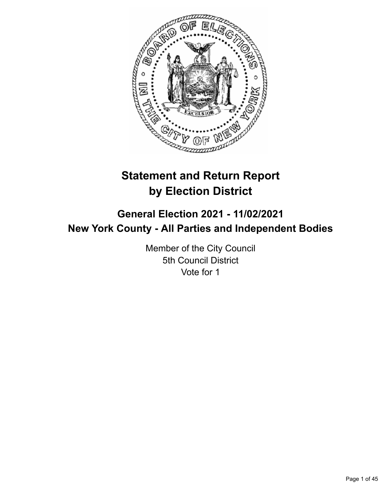

# **Statement and Return Report by Election District**

## **General Election 2021 - 11/02/2021 New York County - All Parties and Independent Bodies**

Member of the City Council 5th Council District Vote for 1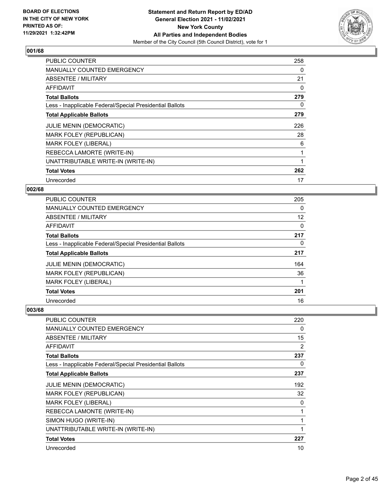

| <b>PUBLIC COUNTER</b>                                    | 258 |
|----------------------------------------------------------|-----|
| <b>MANUALLY COUNTED EMERGENCY</b>                        | 0   |
| <b>ABSENTEE / MILITARY</b>                               | 21  |
| AFFIDAVIT                                                | 0   |
| <b>Total Ballots</b>                                     | 279 |
| Less - Inapplicable Federal/Special Presidential Ballots | 0   |
| <b>Total Applicable Ballots</b>                          | 279 |
| JULIE MENIN (DEMOCRATIC)                                 | 226 |
| MARK FOLEY (REPUBLICAN)                                  | 28  |
| <b>MARK FOLEY (LIBERAL)</b>                              | 6   |
| REBECCA LAMORTE (WRITE-IN)                               | 1   |
| UNATTRIBUTABLE WRITE-IN (WRITE-IN)                       |     |
| <b>Total Votes</b>                                       | 262 |
| Unrecorded                                               | 17  |

#### **002/68**

| <b>PUBLIC COUNTER</b>                                    | 205 |
|----------------------------------------------------------|-----|
| MANUALLY COUNTED EMERGENCY                               | 0   |
| <b>ABSENTEE / MILITARY</b>                               | 12  |
| <b>AFFIDAVIT</b>                                         | 0   |
| <b>Total Ballots</b>                                     | 217 |
| Less - Inapplicable Federal/Special Presidential Ballots | 0   |
| <b>Total Applicable Ballots</b>                          | 217 |
| <b>JULIE MENIN (DEMOCRATIC)</b>                          | 164 |
| MARK FOLEY (REPUBLICAN)                                  | 36  |
| <b>MARK FOLEY (LIBERAL)</b>                              |     |
| <b>Total Votes</b>                                       | 201 |
| Unrecorded                                               | 16  |

| PUBLIC COUNTER                                           | 220 |
|----------------------------------------------------------|-----|
| <b>MANUALLY COUNTED EMERGENCY</b>                        | 0   |
| <b>ABSENTEE / MILITARY</b>                               | 15  |
| AFFIDAVIT                                                | 2   |
| <b>Total Ballots</b>                                     | 237 |
| Less - Inapplicable Federal/Special Presidential Ballots | 0   |
| <b>Total Applicable Ballots</b>                          | 237 |
| <b>JULIE MENIN (DEMOCRATIC)</b>                          | 192 |
| MARK FOLEY (REPUBLICAN)                                  | 32  |
| <b>MARK FOLEY (LIBERAL)</b>                              | 0   |
| REBECCA LAMONTE (WRITE-IN)                               | 1   |
| SIMON HUGO (WRITE-IN)                                    | 1   |
| UNATTRIBUTABLE WRITE-IN (WRITE-IN)                       | 1   |
| <b>Total Votes</b>                                       | 227 |
| Unrecorded                                               | 10  |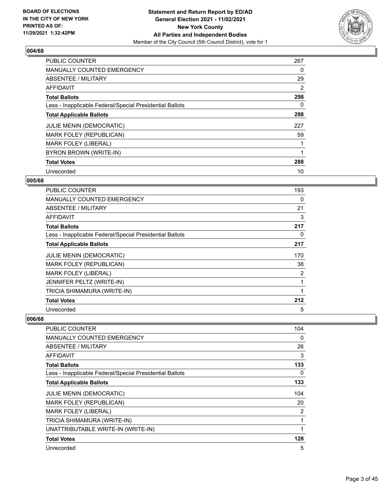

| <b>PUBLIC COUNTER</b>                                    | 267 |
|----------------------------------------------------------|-----|
| <b>MANUALLY COUNTED EMERGENCY</b>                        | 0   |
| ABSENTEE / MILITARY                                      | 29  |
| <b>AFFIDAVIT</b>                                         | 2   |
| <b>Total Ballots</b>                                     | 298 |
| Less - Inapplicable Federal/Special Presidential Ballots | 0   |
| <b>Total Applicable Ballots</b>                          | 298 |
| <b>JULIE MENIN (DEMOCRATIC)</b>                          | 227 |
| <b>MARK FOLEY (REPUBLICAN)</b>                           | 59  |
| <b>MARK FOLEY (LIBERAL)</b>                              |     |
| BYRON BROWN (WRITE-IN)                                   |     |
| <b>Total Votes</b>                                       | 288 |
| Unrecorded                                               | 10  |

#### **005/68**

| PUBLIC COUNTER                                           | 193 |
|----------------------------------------------------------|-----|
| MANUALLY COUNTED EMERGENCY                               | 0   |
| ABSENTEE / MILITARY                                      | 21  |
| <b>AFFIDAVIT</b>                                         | 3   |
| <b>Total Ballots</b>                                     | 217 |
| Less - Inapplicable Federal/Special Presidential Ballots | 0   |
| <b>Total Applicable Ballots</b>                          | 217 |
| <b>JULIE MENIN (DEMOCRATIC)</b>                          | 170 |
| MARK FOLEY (REPUBLICAN)                                  | 38  |
| <b>MARK FOLEY (LIBERAL)</b>                              | 2   |
| JENNIFER PELTZ (WRITE-IN)                                |     |
| TRICIA SHIMAMURA (WRITE-IN)                              | 1   |
| <b>Total Votes</b>                                       | 212 |
| Unrecorded                                               | 5   |

| <b>PUBLIC COUNTER</b>                                    | 104 |
|----------------------------------------------------------|-----|
| MANUALLY COUNTED EMERGENCY                               | 0   |
| ABSENTEE / MILITARY                                      | 26  |
| <b>AFFIDAVIT</b>                                         | 3   |
| <b>Total Ballots</b>                                     | 133 |
| Less - Inapplicable Federal/Special Presidential Ballots | 0   |
| <b>Total Applicable Ballots</b>                          | 133 |
| <b>JULIE MENIN (DEMOCRATIC)</b>                          | 104 |
| MARK FOLEY (REPUBLICAN)                                  | 20  |
| <b>MARK FOLEY (LIBERAL)</b>                              | 2   |
| TRICIA SHIMAMURA (WRITE-IN)                              | 1   |
| UNATTRIBUTABLE WRITE-IN (WRITE-IN)                       |     |
| <b>Total Votes</b>                                       | 128 |
| Unrecorded                                               | 5   |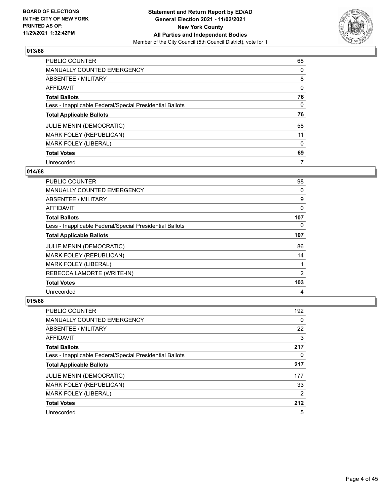

| PUBLIC COUNTER                                           | 68       |
|----------------------------------------------------------|----------|
| MANUALLY COUNTED EMERGENCY                               | 0        |
| ABSENTEE / MILITARY                                      | 8        |
| AFFIDAVIT                                                | $\Omega$ |
| <b>Total Ballots</b>                                     | 76       |
| Less - Inapplicable Federal/Special Presidential Ballots | $\Omega$ |
| <b>Total Applicable Ballots</b>                          | 76       |
| <b>JULIE MENIN (DEMOCRATIC)</b>                          | 58       |
| MARK FOLEY (REPUBLICAN)                                  | 11       |
| <b>MARK FOLEY (LIBERAL)</b>                              | $\Omega$ |
| <b>Total Votes</b>                                       | 69       |
| Unrecorded                                               | 7        |

#### **014/68**

| PUBLIC COUNTER                                           | 98  |
|----------------------------------------------------------|-----|
| <b>MANUALLY COUNTED EMERGENCY</b>                        | 0   |
| ABSENTEE / MILITARY                                      | 9   |
| AFFIDAVIT                                                | 0   |
| <b>Total Ballots</b>                                     | 107 |
| Less - Inapplicable Federal/Special Presidential Ballots | 0   |
| <b>Total Applicable Ballots</b>                          | 107 |
| <b>JULIE MENIN (DEMOCRATIC)</b>                          | 86  |
| MARK FOLEY (REPUBLICAN)                                  | 14  |
| <b>MARK FOLEY (LIBERAL)</b>                              |     |
| REBECCA LAMORTE (WRITE-IN)                               | 2   |
| <b>Total Votes</b>                                       | 103 |
| Unrecorded                                               | 4   |

| <b>PUBLIC COUNTER</b>                                    | 192 |
|----------------------------------------------------------|-----|
| <b>MANUALLY COUNTED EMERGENCY</b>                        | 0   |
| ABSENTEE / MILITARY                                      | 22  |
| AFFIDAVIT                                                | 3   |
| <b>Total Ballots</b>                                     | 217 |
| Less - Inapplicable Federal/Special Presidential Ballots | 0   |
| <b>Total Applicable Ballots</b>                          | 217 |
| <b>JULIE MENIN (DEMOCRATIC)</b>                          | 177 |
| <b>MARK FOLEY (REPUBLICAN)</b>                           | 33  |
| <b>MARK FOLEY (LIBERAL)</b>                              | 2   |
| <b>Total Votes</b>                                       | 212 |
| Unrecorded                                               | 5   |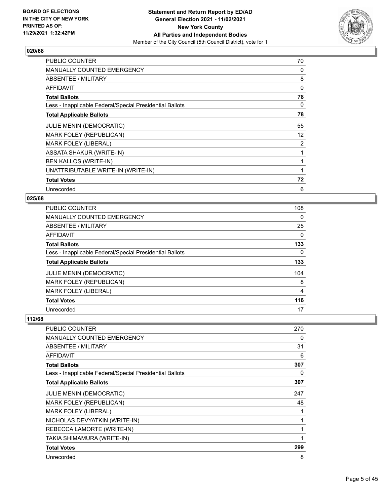

| <b>PUBLIC COUNTER</b>                                    | 70             |
|----------------------------------------------------------|----------------|
| <b>MANUALLY COUNTED EMERGENCY</b>                        | 0              |
| ABSENTEE / MILITARY                                      | 8              |
| <b>AFFIDAVIT</b>                                         | $\Omega$       |
| <b>Total Ballots</b>                                     | 78             |
| Less - Inapplicable Federal/Special Presidential Ballots | 0              |
| <b>Total Applicable Ballots</b>                          | 78             |
| JULIE MENIN (DEMOCRATIC)                                 | 55             |
| MARK FOLEY (REPUBLICAN)                                  | 12             |
| MARK FOLEY (LIBERAL)                                     | $\overline{2}$ |
| <b>ASSATA SHAKUR (WRITE-IN)</b>                          |                |
| <b>BEN KALLOS (WRITE-IN)</b>                             |                |
| UNATTRIBUTABLE WRITE-IN (WRITE-IN)                       | 1              |
| <b>Total Votes</b>                                       | 72             |
| Unrecorded                                               | 6              |

#### **025/68**

| <b>PUBLIC COUNTER</b>                                    | 108            |
|----------------------------------------------------------|----------------|
| MANUALLY COUNTED EMERGENCY                               | 0              |
| ABSENTEE / MILITARY                                      | 25             |
| <b>AFFIDAVIT</b>                                         | $\Omega$       |
| <b>Total Ballots</b>                                     | 133            |
| Less - Inapplicable Federal/Special Presidential Ballots | 0              |
| <b>Total Applicable Ballots</b>                          | 133            |
| <b>JULIE MENIN (DEMOCRATIC)</b>                          | 104            |
| <b>MARK FOLEY (REPUBLICAN)</b>                           | 8              |
| <b>MARK FOLEY (LIBERAL)</b>                              | $\overline{4}$ |
| <b>Total Votes</b>                                       | 116            |
| Unrecorded                                               | 17             |

| PUBLIC COUNTER                                           | 270 |
|----------------------------------------------------------|-----|
| <b>MANUALLY COUNTED EMERGENCY</b>                        | 0   |
| ABSENTEE / MILITARY                                      | 31  |
| AFFIDAVIT                                                | 6   |
| <b>Total Ballots</b>                                     | 307 |
| Less - Inapplicable Federal/Special Presidential Ballots | 0   |
| <b>Total Applicable Ballots</b>                          | 307 |
| <b>JULIE MENIN (DEMOCRATIC)</b>                          | 247 |
| MARK FOLEY (REPUBLICAN)                                  | 48  |
| <b>MARK FOLEY (LIBERAL)</b>                              |     |
| NICHOLAS DEVYATKIN (WRITE-IN)                            |     |
| REBECCA LAMORTE (WRITE-IN)                               |     |
| TAKIA SHIMAMURA (WRITE-IN)                               | 1   |
| <b>Total Votes</b>                                       | 299 |
| Unrecorded                                               | 8   |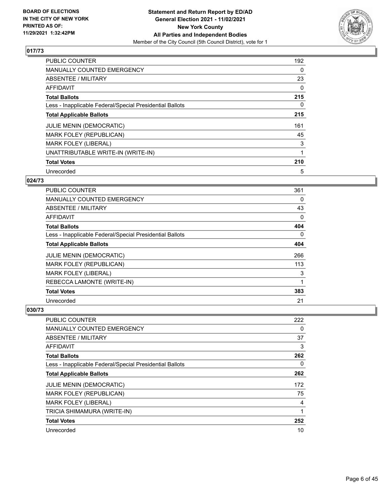

| <b>PUBLIC COUNTER</b>                                    | 192 |
|----------------------------------------------------------|-----|
| MANUALLY COUNTED EMERGENCY                               | 0   |
| ABSENTEE / MILITARY                                      | 23  |
| <b>AFFIDAVIT</b>                                         | 0   |
| <b>Total Ballots</b>                                     | 215 |
| Less - Inapplicable Federal/Special Presidential Ballots | 0   |
| <b>Total Applicable Ballots</b>                          | 215 |
| <b>JULIE MENIN (DEMOCRATIC)</b>                          | 161 |
| <b>MARK FOLEY (REPUBLICAN)</b>                           | 45  |
| <b>MARK FOLEY (LIBERAL)</b>                              | 3   |
| UNATTRIBUTABLE WRITE-IN (WRITE-IN)                       |     |
| <b>Total Votes</b>                                       | 210 |
| Unrecorded                                               | 5   |

## **024/73**

| <b>PUBLIC COUNTER</b>                                    | 361 |
|----------------------------------------------------------|-----|
| MANUALLY COUNTED EMERGENCY                               | 0   |
| ABSENTEE / MILITARY                                      | 43  |
| AFFIDAVIT                                                | 0   |
| <b>Total Ballots</b>                                     | 404 |
| Less - Inapplicable Federal/Special Presidential Ballots | 0   |
| <b>Total Applicable Ballots</b>                          | 404 |
| <b>JULIE MENIN (DEMOCRATIC)</b>                          | 266 |
| MARK FOLEY (REPUBLICAN)                                  | 113 |
| <b>MARK FOLEY (LIBERAL)</b>                              | 3   |
| REBECCA LAMONTE (WRITE-IN)                               | 1   |
| <b>Total Votes</b>                                       | 383 |
| Unrecorded                                               | 21  |

| PUBLIC COUNTER                                           | 222 |
|----------------------------------------------------------|-----|
| <b>MANUALLY COUNTED EMERGENCY</b>                        | 0   |
| ABSENTEE / MILITARY                                      | 37  |
| AFFIDAVIT                                                | 3   |
| <b>Total Ballots</b>                                     | 262 |
| Less - Inapplicable Federal/Special Presidential Ballots | 0   |
| <b>Total Applicable Ballots</b>                          | 262 |
| <b>JULIE MENIN (DEMOCRATIC)</b>                          | 172 |
| MARK FOLEY (REPUBLICAN)                                  | 75  |
| <b>MARK FOLEY (LIBERAL)</b>                              | 4   |
| TRICIA SHIMAMURA (WRITE-IN)                              | 1   |
| <b>Total Votes</b>                                       | 252 |
| Unrecorded                                               | 10  |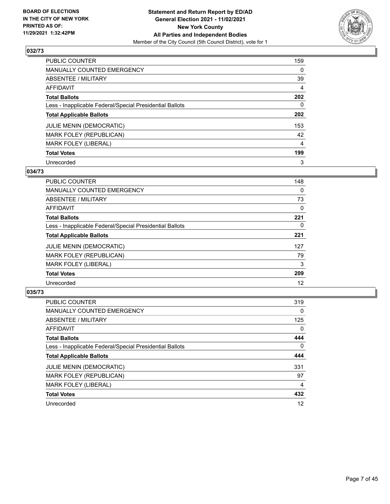

| <b>PUBLIC COUNTER</b>                                    | 159            |
|----------------------------------------------------------|----------------|
| <b>MANUALLY COUNTED EMERGENCY</b>                        | 0              |
| ABSENTEE / MILITARY                                      | 39             |
| <b>AFFIDAVIT</b>                                         | 4              |
| <b>Total Ballots</b>                                     | 202            |
| Less - Inapplicable Federal/Special Presidential Ballots | $\Omega$       |
| <b>Total Applicable Ballots</b>                          | 202            |
| <b>JULIE MENIN (DEMOCRATIC)</b>                          | 153            |
| MARK FOLEY (REPUBLICAN)                                  | 42             |
| <b>MARK FOLEY (LIBERAL)</b>                              | $\overline{4}$ |
| <b>Total Votes</b>                                       | 199            |
| Unrecorded                                               | 3              |

#### **034/73**

| <b>PUBLIC COUNTER</b>                                    | 148      |
|----------------------------------------------------------|----------|
| <b>MANUALLY COUNTED EMERGENCY</b>                        | $\Omega$ |
| ABSENTEE / MILITARY                                      | 73       |
| AFFIDAVIT                                                | 0        |
| <b>Total Ballots</b>                                     | 221      |
| Less - Inapplicable Federal/Special Presidential Ballots | 0        |
| <b>Total Applicable Ballots</b>                          | 221      |
| <b>JULIE MENIN (DEMOCRATIC)</b>                          | 127      |
| MARK FOLEY (REPUBLICAN)                                  | 79       |
| <b>MARK FOLEY (LIBERAL)</b>                              | 3        |
| <b>Total Votes</b>                                       | 209      |
| Unrecorded                                               | 12       |

| <b>PUBLIC COUNTER</b>                                    | 319      |
|----------------------------------------------------------|----------|
| <b>MANUALLY COUNTED EMERGENCY</b>                        | 0        |
| ABSENTEE / MILITARY                                      | 125      |
| <b>AFFIDAVIT</b>                                         | $\Omega$ |
| <b>Total Ballots</b>                                     | 444      |
| Less - Inapplicable Federal/Special Presidential Ballots | $\Omega$ |
| <b>Total Applicable Ballots</b>                          | 444      |
| <b>JULIE MENIN (DEMOCRATIC)</b>                          | 331      |
| MARK FOLEY (REPUBLICAN)                                  | 97       |
| <b>MARK FOLEY (LIBERAL)</b>                              | 4        |
| <b>Total Votes</b>                                       | 432      |
|                                                          |          |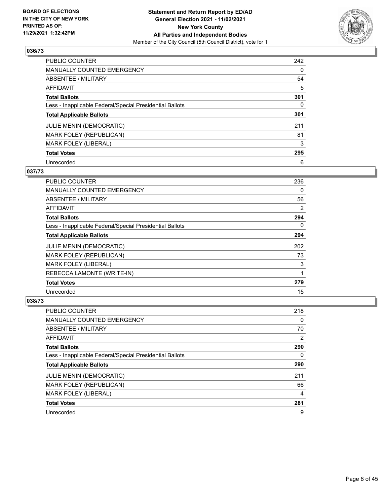

| PUBLIC COUNTER                                           | 242      |
|----------------------------------------------------------|----------|
| MANUALLY COUNTED EMERGENCY                               | 0        |
| ABSENTEE / MILITARY                                      | 54       |
| AFFIDAVIT                                                | 5        |
| <b>Total Ballots</b>                                     | 301      |
| Less - Inapplicable Federal/Special Presidential Ballots | $\Omega$ |
| <b>Total Applicable Ballots</b>                          | 301      |
| <b>JULIE MENIN (DEMOCRATIC)</b>                          | 211      |
| <b>MARK FOLEY (REPUBLICAN)</b>                           | 81       |
| <b>MARK FOLEY (LIBERAL)</b>                              | 3        |
| <b>Total Votes</b>                                       | 295      |
| Unrecorded                                               | 6        |

#### **037/73**

| PUBLIC COUNTER                                           | 236      |
|----------------------------------------------------------|----------|
| <b>MANUALLY COUNTED EMERGENCY</b>                        | $\Omega$ |
| ABSENTEE / MILITARY                                      | 56       |
| <b>AFFIDAVIT</b>                                         | 2        |
| <b>Total Ballots</b>                                     | 294      |
| Less - Inapplicable Federal/Special Presidential Ballots | $\Omega$ |
| <b>Total Applicable Ballots</b>                          | 294      |
| <b>JULIE MENIN (DEMOCRATIC)</b>                          | 202      |
| MARK FOLEY (REPUBLICAN)                                  | 73       |
| <b>MARK FOLEY (LIBERAL)</b>                              | 3        |
| REBECCA LAMONTE (WRITE-IN)                               | 1        |
| <b>Total Votes</b>                                       | 279      |
| Unrecorded                                               | 15       |

| <b>PUBLIC COUNTER</b>                                    | 218 |
|----------------------------------------------------------|-----|
| <b>MANUALLY COUNTED EMERGENCY</b>                        | 0   |
| ABSENTEE / MILITARY                                      | 70  |
| AFFIDAVIT                                                | 2   |
| <b>Total Ballots</b>                                     | 290 |
| Less - Inapplicable Federal/Special Presidential Ballots | 0   |
| <b>Total Applicable Ballots</b>                          | 290 |
| <b>JULIE MENIN (DEMOCRATIC)</b>                          | 211 |
| MARK FOLEY (REPUBLICAN)                                  | 66  |
| <b>MARK FOLEY (LIBERAL)</b>                              | 4   |
| <b>Total Votes</b>                                       | 281 |
| Unrecorded                                               | 9   |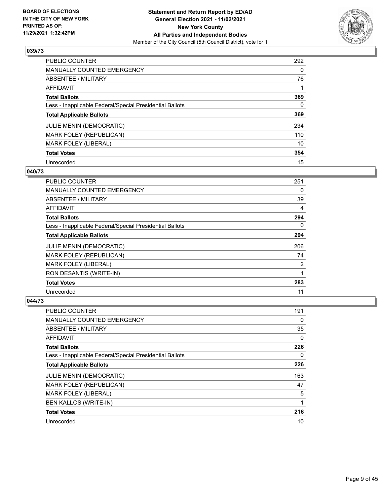

| <b>PUBLIC COUNTER</b>                                    | 292      |
|----------------------------------------------------------|----------|
| <b>MANUALLY COUNTED EMERGENCY</b>                        | $\Omega$ |
| <b>ABSENTEE / MILITARY</b>                               | 76       |
| AFFIDAVIT                                                |          |
| <b>Total Ballots</b>                                     | 369      |
| Less - Inapplicable Federal/Special Presidential Ballots | 0        |
| <b>Total Applicable Ballots</b>                          | 369      |
| <b>JULIE MENIN (DEMOCRATIC)</b>                          | 234      |
| MARK FOLEY (REPUBLICAN)                                  | 110      |
| <b>MARK FOLEY (LIBERAL)</b>                              | 10       |
| <b>Total Votes</b>                                       | 354      |
| Unrecorded                                               | 15       |

## **040/73**

| PUBLIC COUNTER                                           | 251      |
|----------------------------------------------------------|----------|
| <b>MANUALLY COUNTED EMERGENCY</b>                        | 0        |
| ABSENTEE / MILITARY                                      | 39       |
| <b>AFFIDAVIT</b>                                         | 4        |
| <b>Total Ballots</b>                                     | 294      |
| Less - Inapplicable Federal/Special Presidential Ballots | $\Omega$ |
| <b>Total Applicable Ballots</b>                          | 294      |
| <b>JULIE MENIN (DEMOCRATIC)</b>                          | 206      |
| MARK FOLEY (REPUBLICAN)                                  | 74       |
| <b>MARK FOLEY (LIBERAL)</b>                              | 2        |
| RON DESANTIS (WRITE-IN)                                  | 1        |
| <b>Total Votes</b>                                       | 283      |
| Unrecorded                                               | 11       |

| <b>PUBLIC COUNTER</b>                                    | 191      |
|----------------------------------------------------------|----------|
| MANUALLY COUNTED EMERGENCY                               | $\Omega$ |
| ABSENTEE / MILITARY                                      | 35       |
| AFFIDAVIT                                                | 0        |
| <b>Total Ballots</b>                                     | 226      |
| Less - Inapplicable Federal/Special Presidential Ballots | $\Omega$ |
| <b>Total Applicable Ballots</b>                          | 226      |
| <b>JULIE MENIN (DEMOCRATIC)</b>                          | 163      |
| MARK FOLEY (REPUBLICAN)                                  | 47       |
| <b>MARK FOLEY (LIBERAL)</b>                              | 5        |
| <b>BEN KALLOS (WRITE-IN)</b>                             |          |
| <b>Total Votes</b>                                       | 216      |
| Unrecorded                                               | 10       |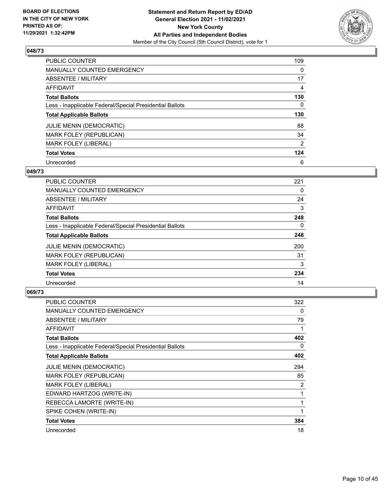

| <b>PUBLIC COUNTER</b>                                    | 109      |
|----------------------------------------------------------|----------|
| MANUALLY COUNTED EMERGENCY                               | $\Omega$ |
| <b>ABSENTEE / MILITARY</b>                               | 17       |
| AFFIDAVIT                                                | 4        |
| <b>Total Ballots</b>                                     | 130      |
| Less - Inapplicable Federal/Special Presidential Ballots | 0        |
| <b>Total Applicable Ballots</b>                          | 130      |
| <b>JULIE MENIN (DEMOCRATIC)</b>                          | 88       |
| MARK FOLEY (REPUBLICAN)                                  | 34       |
| MARK FOLEY (LIBERAL)                                     | 2        |
| <b>Total Votes</b>                                       | 124      |
| Unrecorded                                               | 6        |

#### **049/73**

| <b>PUBLIC COUNTER</b>                                    | 221      |
|----------------------------------------------------------|----------|
| <b>MANUALLY COUNTED EMERGENCY</b>                        | 0        |
| ABSENTEE / MILITARY                                      | 24       |
| <b>AFFIDAVIT</b>                                         | 3        |
| <b>Total Ballots</b>                                     | 248      |
| Less - Inapplicable Federal/Special Presidential Ballots | $\Omega$ |
| <b>Total Applicable Ballots</b>                          | 248      |
| JULIE MENIN (DEMOCRATIC)                                 | 200      |
| <b>MARK FOLEY (REPUBLICAN)</b>                           | 31       |
| <b>MARK FOLEY (LIBERAL)</b>                              | 3        |
| <b>Total Votes</b>                                       | 234      |
| Unrecorded                                               | 14       |

| <b>PUBLIC COUNTER</b>                                    | 322          |
|----------------------------------------------------------|--------------|
| <b>MANUALLY COUNTED EMERGENCY</b>                        | 0            |
| ABSENTEE / MILITARY                                      | 79           |
| AFFIDAVIT                                                |              |
| <b>Total Ballots</b>                                     | 402          |
| Less - Inapplicable Federal/Special Presidential Ballots | 0            |
| <b>Total Applicable Ballots</b>                          | 402          |
| JULIE MENIN (DEMOCRATIC)                                 | 294          |
| <b>MARK FOLEY (REPUBLICAN)</b>                           | 85           |
| MARK FOLEY (LIBERAL)                                     | 2            |
| EDWARD HARTZOG (WRITE-IN)                                | 1            |
| REBECCA LAMORTE (WRITE-IN)                               | 1            |
| SPIKE COHEN (WRITE-IN)                                   | $\mathbf{1}$ |
| <b>Total Votes</b>                                       | 384          |
| Unrecorded                                               | 18           |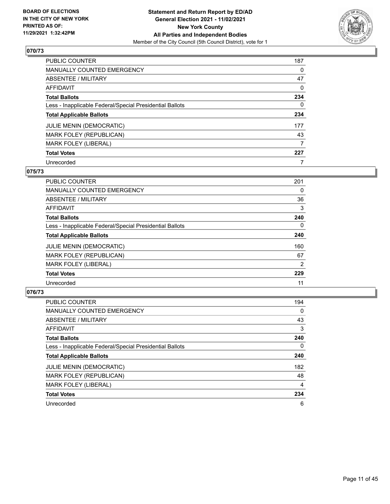

| PUBLIC COUNTER                                           | 187 |
|----------------------------------------------------------|-----|
| MANUALLY COUNTED EMERGENCY                               | 0   |
| ABSENTEE / MILITARY                                      | 47  |
| AFFIDAVIT                                                | 0   |
| <b>Total Ballots</b>                                     | 234 |
| Less - Inapplicable Federal/Special Presidential Ballots | 0   |
| <b>Total Applicable Ballots</b>                          | 234 |
| <b>JULIE MENIN (DEMOCRATIC)</b>                          | 177 |
| MARK FOLEY (REPUBLICAN)                                  | 43  |
| MARK FOLEY (LIBERAL)                                     | 7   |
| <b>Total Votes</b>                                       | 227 |
| Unrecorded                                               | 7   |

#### **075/73**

| <b>PUBLIC COUNTER</b>                                    | 201      |
|----------------------------------------------------------|----------|
| <b>MANUALLY COUNTED EMERGENCY</b>                        | 0        |
| ABSENTEE / MILITARY                                      | 36       |
| AFFIDAVIT                                                | 3        |
| <b>Total Ballots</b>                                     | 240      |
| Less - Inapplicable Federal/Special Presidential Ballots | $\Omega$ |
| <b>Total Applicable Ballots</b>                          | 240      |
| <b>JULIE MENIN (DEMOCRATIC)</b>                          | 160      |
| MARK FOLEY (REPUBLICAN)                                  | 67       |
| <b>MARK FOLEY (LIBERAL)</b>                              | 2        |
| <b>Total Votes</b>                                       | 229      |
| Unrecorded                                               | 11       |

| <b>PUBLIC COUNTER</b>                                    | 194            |
|----------------------------------------------------------|----------------|
| MANUALLY COUNTED EMERGENCY                               | $\Omega$       |
| ABSENTEE / MILITARY                                      | 43             |
| AFFIDAVIT                                                | 3              |
| <b>Total Ballots</b>                                     | 240            |
| Less - Inapplicable Federal/Special Presidential Ballots | $\Omega$       |
| <b>Total Applicable Ballots</b>                          | 240            |
| <b>JULIE MENIN (DEMOCRATIC)</b>                          | 182            |
| MARK FOLEY (REPUBLICAN)                                  | 48             |
| <b>MARK FOLEY (LIBERAL)</b>                              | $\overline{4}$ |
| <b>Total Votes</b>                                       | 234            |
| Unrecorded                                               | 6              |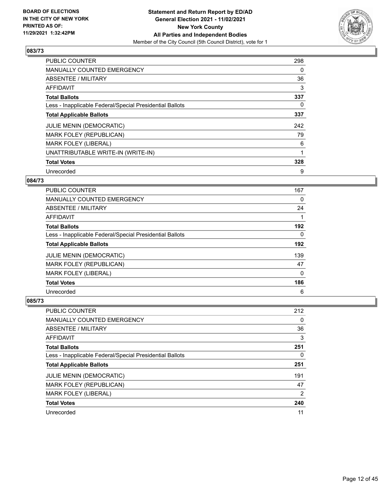

| <b>PUBLIC COUNTER</b>                                    | 298 |
|----------------------------------------------------------|-----|
| <b>MANUALLY COUNTED EMERGENCY</b>                        | 0   |
| ABSENTEE / MILITARY                                      | 36  |
| AFFIDAVIT                                                | 3   |
| <b>Total Ballots</b>                                     | 337 |
| Less - Inapplicable Federal/Special Presidential Ballots | 0   |
| <b>Total Applicable Ballots</b>                          | 337 |
| <b>JULIE MENIN (DEMOCRATIC)</b>                          | 242 |
| MARK FOLEY (REPUBLICAN)                                  | 79  |
| <b>MARK FOLEY (LIBERAL)</b>                              | 6   |
| UNATTRIBUTABLE WRITE-IN (WRITE-IN)                       |     |
| <b>Total Votes</b>                                       | 328 |
| Unrecorded                                               | 9   |

## **084/73**

| <b>PUBLIC COUNTER</b>                                    | 167 |
|----------------------------------------------------------|-----|
| <b>MANUALLY COUNTED EMERGENCY</b>                        | 0   |
| ABSENTEE / MILITARY                                      | 24  |
| <b>AFFIDAVIT</b>                                         |     |
| <b>Total Ballots</b>                                     | 192 |
| Less - Inapplicable Federal/Special Presidential Ballots | 0   |
| <b>Total Applicable Ballots</b>                          | 192 |
| <b>JULIE MENIN (DEMOCRATIC)</b>                          | 139 |
| MARK FOLEY (REPUBLICAN)                                  | 47  |
| <b>MARK FOLEY (LIBERAL)</b>                              | 0   |
| <b>Total Votes</b>                                       | 186 |
| Unrecorded                                               | 6   |

| <b>PUBLIC COUNTER</b>                                    | 212 |
|----------------------------------------------------------|-----|
| <b>MANUALLY COUNTED EMERGENCY</b>                        | 0   |
| ABSENTEE / MILITARY                                      | 36  |
| AFFIDAVIT                                                | 3   |
| <b>Total Ballots</b>                                     | 251 |
| Less - Inapplicable Federal/Special Presidential Ballots | 0   |
| <b>Total Applicable Ballots</b>                          | 251 |
| <b>JULIE MENIN (DEMOCRATIC)</b>                          | 191 |
| <b>MARK FOLEY (REPUBLICAN)</b>                           | 47  |
| <b>MARK FOLEY (LIBERAL)</b>                              | 2   |
| <b>Total Votes</b>                                       | 240 |
| Unrecorded                                               | 11  |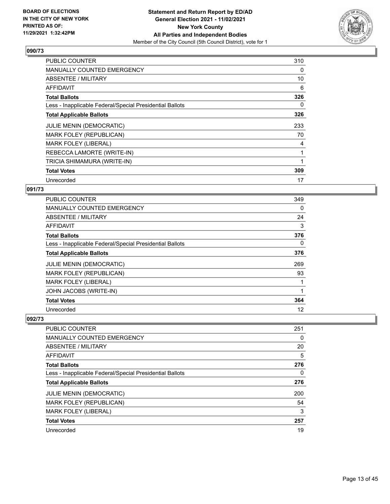

| <b>PUBLIC COUNTER</b>                                    | 310 |
|----------------------------------------------------------|-----|
| <b>MANUALLY COUNTED EMERGENCY</b>                        | 0   |
| ABSENTEE / MILITARY                                      | 10  |
| AFFIDAVIT                                                | 6   |
| <b>Total Ballots</b>                                     | 326 |
| Less - Inapplicable Federal/Special Presidential Ballots | 0   |
| <b>Total Applicable Ballots</b>                          | 326 |
| JULIE MENIN (DEMOCRATIC)                                 | 233 |
| MARK FOLEY (REPUBLICAN)                                  | 70  |
| <b>MARK FOLEY (LIBERAL)</b>                              | 4   |
| REBECCA LAMORTE (WRITE-IN)                               | 1   |
| TRICIA SHIMAMURA (WRITE-IN)                              |     |
| <b>Total Votes</b>                                       | 309 |
| Unrecorded                                               | 17  |

#### **091/73**

| <b>PUBLIC COUNTER</b>                                    | 349 |
|----------------------------------------------------------|-----|
| <b>MANUALLY COUNTED EMERGENCY</b>                        | 0   |
| ABSENTEE / MILITARY                                      | 24  |
| AFFIDAVIT                                                | 3   |
| <b>Total Ballots</b>                                     | 376 |
| Less - Inapplicable Federal/Special Presidential Ballots | 0   |
| <b>Total Applicable Ballots</b>                          | 376 |
| <b>JULIE MENIN (DEMOCRATIC)</b>                          | 269 |
| MARK FOLEY (REPUBLICAN)                                  | 93  |
| <b>MARK FOLEY (LIBERAL)</b>                              |     |
| JOHN JACOBS (WRITE-IN)                                   |     |
| <b>Total Votes</b>                                       | 364 |
| Unrecorded                                               | 12  |

| <b>PUBLIC COUNTER</b>                                    | 251 |
|----------------------------------------------------------|-----|
| <b>MANUALLY COUNTED EMERGENCY</b>                        | 0   |
| ABSENTEE / MILITARY                                      | 20  |
| AFFIDAVIT                                                | 5   |
| <b>Total Ballots</b>                                     | 276 |
| Less - Inapplicable Federal/Special Presidential Ballots | 0   |
| <b>Total Applicable Ballots</b>                          | 276 |
| <b>JULIE MENIN (DEMOCRATIC)</b>                          | 200 |
| <b>MARK FOLEY (REPUBLICAN)</b>                           | 54  |
| <b>MARK FOLEY (LIBERAL)</b>                              | 3   |
| <b>Total Votes</b>                                       | 257 |
| Unrecorded                                               | 19  |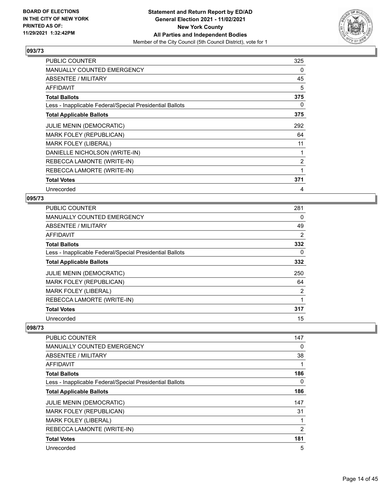

| <b>PUBLIC COUNTER</b>                                    | 325 |
|----------------------------------------------------------|-----|
| <b>MANUALLY COUNTED EMERGENCY</b>                        | 0   |
| ABSENTEE / MILITARY                                      | 45  |
| <b>AFFIDAVIT</b>                                         | 5   |
| <b>Total Ballots</b>                                     | 375 |
| Less - Inapplicable Federal/Special Presidential Ballots | 0   |
| <b>Total Applicable Ballots</b>                          | 375 |
| JULIE MENIN (DEMOCRATIC)                                 | 292 |
| MARK FOLEY (REPUBLICAN)                                  | 64  |
| <b>MARK FOLEY (LIBERAL)</b>                              | 11  |
| DANIELLE NICHOLSON (WRITE-IN)                            |     |
| REBECCA LAMONTE (WRITE-IN)                               | 2   |
| REBECCA LAMORTE (WRITE-IN)                               | 1   |
| <b>Total Votes</b>                                       | 371 |
| Unrecorded                                               | 4   |

#### **095/73**

| <b>PUBLIC COUNTER</b>                                    | 281 |
|----------------------------------------------------------|-----|
| MANUALLY COUNTED EMERGENCY                               | 0   |
| ABSENTEE / MILITARY                                      | 49  |
| AFFIDAVIT                                                | 2   |
| <b>Total Ballots</b>                                     | 332 |
| Less - Inapplicable Federal/Special Presidential Ballots | 0   |
| <b>Total Applicable Ballots</b>                          | 332 |
| <b>JULIE MENIN (DEMOCRATIC)</b>                          | 250 |
| <b>MARK FOLEY (REPUBLICAN)</b>                           | 64  |
| <b>MARK FOLEY (LIBERAL)</b>                              | 2   |
| REBECCA LAMORTE (WRITE-IN)                               | 1   |
| <b>Total Votes</b>                                       | 317 |
| Unrecorded                                               | 15  |

| <b>PUBLIC COUNTER</b>                                    | 147      |
|----------------------------------------------------------|----------|
| <b>MANUALLY COUNTED EMERGENCY</b>                        | 0        |
| ABSENTEE / MILITARY                                      | 38       |
| AFFIDAVIT                                                |          |
| <b>Total Ballots</b>                                     | 186      |
| Less - Inapplicable Federal/Special Presidential Ballots | $\Omega$ |
| <b>Total Applicable Ballots</b>                          | 186      |
| <b>JULIE MENIN (DEMOCRATIC)</b>                          | 147      |
| MARK FOLEY (REPUBLICAN)                                  | 31       |
| MARK FOLEY (LIBERAL)                                     |          |
| REBECCA LAMONTE (WRITE-IN)                               | 2        |
| <b>Total Votes</b>                                       | 181      |
| Unrecorded                                               | 5        |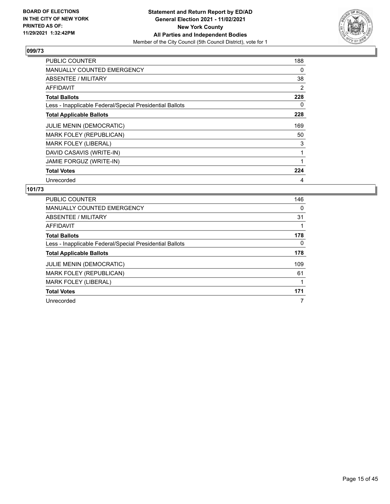

| <b>PUBLIC COUNTER</b>                                    | 188 |
|----------------------------------------------------------|-----|
| <b>MANUALLY COUNTED EMERGENCY</b>                        | 0   |
| <b>ABSENTEE / MILITARY</b>                               | 38  |
| AFFIDAVIT                                                | 2   |
| <b>Total Ballots</b>                                     | 228 |
| Less - Inapplicable Federal/Special Presidential Ballots | 0   |
| <b>Total Applicable Ballots</b>                          | 228 |
| JULIE MENIN (DEMOCRATIC)                                 | 169 |
| <b>MARK FOLEY (REPUBLICAN)</b>                           | 50  |
| <b>MARK FOLEY (LIBERAL)</b>                              | 3   |
| DAVID CASAVIS (WRITE-IN)                                 |     |
| JAMIE FORGUZ (WRITE-IN)                                  |     |
| <b>Total Votes</b>                                       | 224 |
| Unrecorded                                               | 4   |

| <b>PUBLIC COUNTER</b>                                    | 146 |
|----------------------------------------------------------|-----|
| <b>MANUALLY COUNTED EMERGENCY</b>                        | 0   |
| ABSENTEE / MILITARY                                      | 31  |
| <b>AFFIDAVIT</b>                                         |     |
| <b>Total Ballots</b>                                     | 178 |
| Less - Inapplicable Federal/Special Presidential Ballots | 0   |
| <b>Total Applicable Ballots</b>                          | 178 |
| <b>JULIE MENIN (DEMOCRATIC)</b>                          | 109 |
| MARK FOLEY (REPUBLICAN)                                  | 61  |
| <b>MARK FOLEY (LIBERAL)</b>                              |     |
| <b>Total Votes</b>                                       | 171 |
| Unrecorded                                               | 7   |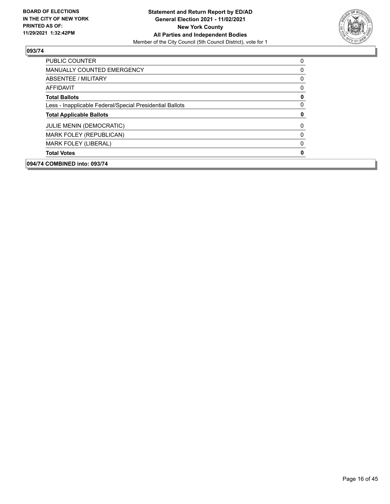

| 094/74 COMBINED into: 093/74                             |             |
|----------------------------------------------------------|-------------|
| <b>Total Votes</b>                                       | 0           |
| <b>MARK FOLEY (LIBERAL)</b>                              | 0           |
| MARK FOLEY (REPUBLICAN)                                  | $\Omega$    |
| <b>JULIE MENIN (DEMOCRATIC)</b>                          | 0           |
| <b>Total Applicable Ballots</b>                          | 0           |
| Less - Inapplicable Federal/Special Presidential Ballots | $\mathbf 0$ |
| <b>Total Ballots</b>                                     | 0           |
| AFFIDAVIT                                                | 0           |
| ABSENTEE / MILITARY                                      | 0           |
| <b>MANUALLY COUNTED EMERGENCY</b>                        | 0           |
| PUBLIC COUNTER                                           | 0           |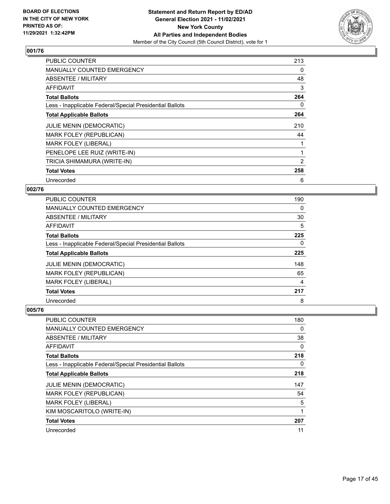

| <b>PUBLIC COUNTER</b>                                    | 213            |
|----------------------------------------------------------|----------------|
| <b>MANUALLY COUNTED EMERGENCY</b>                        | 0              |
| <b>ABSENTEE / MILITARY</b>                               | 48             |
| AFFIDAVIT                                                | 3              |
| <b>Total Ballots</b>                                     | 264            |
| Less - Inapplicable Federal/Special Presidential Ballots | 0              |
| <b>Total Applicable Ballots</b>                          | 264            |
| JULIE MENIN (DEMOCRATIC)                                 | 210            |
| MARK FOLEY (REPUBLICAN)                                  | 44             |
| <b>MARK FOLEY (LIBERAL)</b>                              |                |
| PENELOPE LEE RUIZ (WRITE-IN)                             |                |
| TRICIA SHIMAMURA (WRITE-IN)                              | $\overline{2}$ |
| <b>Total Votes</b>                                       | 258            |
| Unrecorded                                               | 6              |

#### **002/76**

| PUBLIC COUNTER                                           | 190 |
|----------------------------------------------------------|-----|
| <b>MANUALLY COUNTED EMERGENCY</b>                        | 0   |
| ABSENTEE / MILITARY                                      | 30  |
| AFFIDAVIT                                                | 5   |
| <b>Total Ballots</b>                                     | 225 |
| Less - Inapplicable Federal/Special Presidential Ballots | 0   |
| <b>Total Applicable Ballots</b>                          | 225 |
| <b>JULIE MENIN (DEMOCRATIC)</b>                          | 148 |
| MARK FOLEY (REPUBLICAN)                                  | 65  |
| <b>MARK FOLEY (LIBERAL)</b>                              | 4   |
| <b>Total Votes</b>                                       | 217 |
| Unrecorded                                               | 8   |

| <b>PUBLIC COUNTER</b>                                    | 180 |
|----------------------------------------------------------|-----|
| <b>MANUALLY COUNTED EMERGENCY</b>                        | 0   |
| ABSENTEE / MILITARY                                      | 38  |
| AFFIDAVIT                                                | 0   |
| <b>Total Ballots</b>                                     | 218 |
| Less - Inapplicable Federal/Special Presidential Ballots | 0   |
| <b>Total Applicable Ballots</b>                          | 218 |
| <b>JULIE MENIN (DEMOCRATIC)</b>                          | 147 |
| MARK FOLEY (REPUBLICAN)                                  | 54  |
| <b>MARK FOLEY (LIBERAL)</b>                              | 5   |
| KIM MOSCARITOLO (WRITE-IN)                               | 1   |
| <b>Total Votes</b>                                       | 207 |
| Unrecorded                                               | 11  |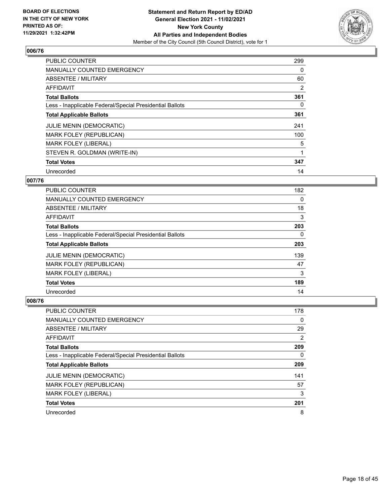

| <b>PUBLIC COUNTER</b>                                    | 299 |
|----------------------------------------------------------|-----|
| <b>MANUALLY COUNTED EMERGENCY</b>                        | 0   |
| ABSENTEE / MILITARY                                      | 60  |
| AFFIDAVIT                                                | 2   |
| <b>Total Ballots</b>                                     | 361 |
| Less - Inapplicable Federal/Special Presidential Ballots | 0   |
| <b>Total Applicable Ballots</b>                          | 361 |
| <b>JULIE MENIN (DEMOCRATIC)</b>                          | 241 |
| <b>MARK FOLEY (REPUBLICAN)</b>                           | 100 |
| <b>MARK FOLEY (LIBERAL)</b>                              | 5   |
| STEVEN R. GOLDMAN (WRITE-IN)                             | 1   |
| <b>Total Votes</b>                                       | 347 |
| Unrecorded                                               | 14  |

## **007/76**

| <b>PUBLIC COUNTER</b>                                    | 182 |
|----------------------------------------------------------|-----|
| MANUALLY COUNTED EMERGENCY                               | 0   |
| ABSENTEE / MILITARY                                      | 18  |
| AFFIDAVIT                                                | 3   |
| <b>Total Ballots</b>                                     | 203 |
| Less - Inapplicable Federal/Special Presidential Ballots | 0   |
| <b>Total Applicable Ballots</b>                          | 203 |
| <b>JULIE MENIN (DEMOCRATIC)</b>                          | 139 |
| MARK FOLEY (REPUBLICAN)                                  | 47  |
| <b>MARK FOLEY (LIBERAL)</b>                              | 3   |
| <b>Total Votes</b>                                       | 189 |
| Unrecorded                                               | 14  |

| <b>PUBLIC COUNTER</b>                                    | 178 |
|----------------------------------------------------------|-----|
| <b>MANUALLY COUNTED EMERGENCY</b>                        | 0   |
| ABSENTEE / MILITARY                                      | 29  |
| AFFIDAVIT                                                | 2   |
| <b>Total Ballots</b>                                     | 209 |
| Less - Inapplicable Federal/Special Presidential Ballots | 0   |
| <b>Total Applicable Ballots</b>                          | 209 |
| <b>JULIE MENIN (DEMOCRATIC)</b>                          | 141 |
| <b>MARK FOLEY (REPUBLICAN)</b>                           | 57  |
| <b>MARK FOLEY (LIBERAL)</b>                              | 3   |
| <b>Total Votes</b>                                       | 201 |
| Unrecorded                                               | 8   |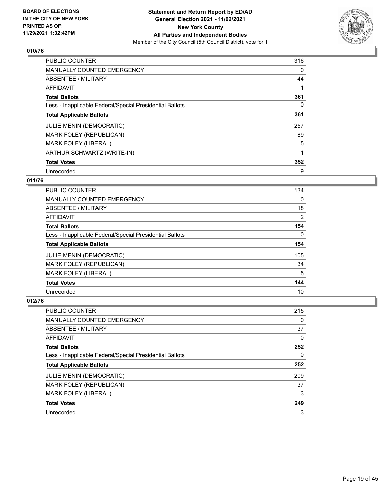

| <b>PUBLIC COUNTER</b>                                    | 316 |
|----------------------------------------------------------|-----|
| <b>MANUALLY COUNTED EMERGENCY</b>                        | 0   |
| ABSENTEE / MILITARY                                      | 44  |
| <b>AFFIDAVIT</b>                                         |     |
| <b>Total Ballots</b>                                     | 361 |
| Less - Inapplicable Federal/Special Presidential Ballots | 0   |
| <b>Total Applicable Ballots</b>                          | 361 |
| <b>JULIE MENIN (DEMOCRATIC)</b>                          | 257 |
| MARK FOLEY (REPUBLICAN)                                  | 89  |
| <b>MARK FOLEY (LIBERAL)</b>                              | 5   |
| ARTHUR SCHWARTZ (WRITE-IN)                               |     |
| <b>Total Votes</b>                                       | 352 |
| Unrecorded                                               | 9   |

#### **011/76**

| <b>PUBLIC COUNTER</b>                                    | 134      |
|----------------------------------------------------------|----------|
| <b>MANUALLY COUNTED EMERGENCY</b>                        | 0        |
| ABSENTEE / MILITARY                                      | 18       |
| AFFIDAVIT                                                | 2        |
| <b>Total Ballots</b>                                     | 154      |
| Less - Inapplicable Federal/Special Presidential Ballots | $\Omega$ |
| <b>Total Applicable Ballots</b>                          | 154      |
| <b>JULIE MENIN (DEMOCRATIC)</b>                          | 105      |
| MARK FOLEY (REPUBLICAN)                                  | 34       |
| <b>MARK FOLEY (LIBERAL)</b>                              | 5        |
| <b>Total Votes</b>                                       | 144      |
| Unrecorded                                               | 10       |

| <b>PUBLIC COUNTER</b>                                    | 215 |
|----------------------------------------------------------|-----|
| <b>MANUALLY COUNTED EMERGENCY</b>                        | 0   |
| ABSENTEE / MILITARY                                      | 37  |
| AFFIDAVIT                                                | 0   |
| <b>Total Ballots</b>                                     | 252 |
| Less - Inapplicable Federal/Special Presidential Ballots | 0   |
| <b>Total Applicable Ballots</b>                          | 252 |
|                                                          |     |
| <b>JULIE MENIN (DEMOCRATIC)</b>                          | 209 |
| <b>MARK FOLEY (REPUBLICAN)</b>                           | 37  |
| <b>MARK FOLEY (LIBERAL)</b>                              | 3   |
| <b>Total Votes</b>                                       | 249 |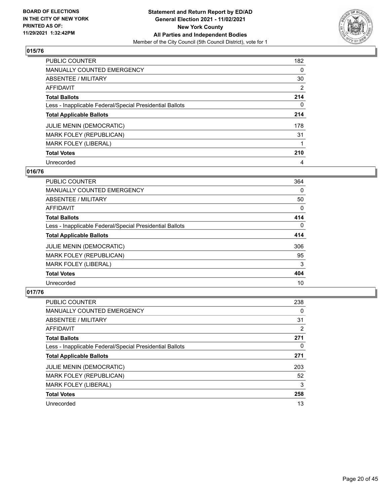

| PUBLIC COUNTER                                           | 182            |
|----------------------------------------------------------|----------------|
| MANUALLY COUNTED EMERGENCY                               | $\Omega$       |
| ABSENTEE / MILITARY                                      | 30             |
| AFFIDAVIT                                                | $\overline{2}$ |
| <b>Total Ballots</b>                                     | 214            |
| Less - Inapplicable Federal/Special Presidential Ballots | 0              |
| <b>Total Applicable Ballots</b>                          | 214            |
| <b>JULIE MENIN (DEMOCRATIC)</b>                          | 178            |
| MARK FOLEY (REPUBLICAN)                                  | 31             |
| <b>MARK FOLEY (LIBERAL)</b>                              |                |
| <b>Total Votes</b>                                       | 210            |
| Unrecorded                                               | 4              |

#### **016/76**

| <b>PUBLIC COUNTER</b>                                    | 364      |
|----------------------------------------------------------|----------|
| <b>MANUALLY COUNTED EMERGENCY</b>                        | 0        |
| ABSENTEE / MILITARY                                      | 50       |
| <b>AFFIDAVIT</b>                                         | 0        |
| <b>Total Ballots</b>                                     | 414      |
| Less - Inapplicable Federal/Special Presidential Ballots | $\Omega$ |
| <b>Total Applicable Ballots</b>                          | 414      |
| JULIE MENIN (DEMOCRATIC)                                 | 306      |
| MARK FOLEY (REPUBLICAN)                                  | 95       |
| MARK FOLEY (LIBERAL)                                     | 3        |
| <b>Total Votes</b>                                       | 404      |
| Unrecorded                                               | 10       |

| <b>PUBLIC COUNTER</b>                                    | 238      |
|----------------------------------------------------------|----------|
| <b>MANUALLY COUNTED EMERGENCY</b>                        | $\Omega$ |
| ABSENTEE / MILITARY                                      | 31       |
| AFFIDAVIT                                                | 2        |
| <b>Total Ballots</b>                                     | 271      |
| Less - Inapplicable Federal/Special Presidential Ballots | 0        |
| <b>Total Applicable Ballots</b>                          | 271      |
| <b>JULIE MENIN (DEMOCRATIC)</b>                          | 203      |
| <b>MARK FOLEY (REPUBLICAN)</b>                           | 52       |
| <b>MARK FOLEY (LIBERAL)</b>                              | 3        |
| <b>Total Votes</b>                                       | 258      |
| Unrecorded                                               | 13       |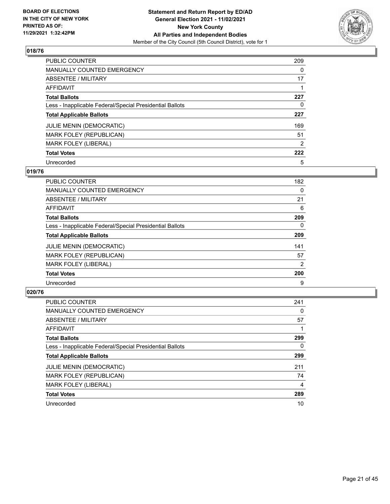

| PUBLIC COUNTER                                           | 209      |
|----------------------------------------------------------|----------|
| MANUALLY COUNTED EMERGENCY                               | $\Omega$ |
| ABSENTEE / MILITARY                                      | 17       |
| AFFIDAVIT                                                |          |
| <b>Total Ballots</b>                                     | 227      |
| Less - Inapplicable Federal/Special Presidential Ballots | 0        |
| <b>Total Applicable Ballots</b>                          | 227      |
| <b>JULIE MENIN (DEMOCRATIC)</b>                          | 169      |
| MARK FOLEY (REPUBLICAN)                                  | 51       |
| <b>MARK FOLEY (LIBERAL)</b>                              | 2        |
| <b>Total Votes</b>                                       | 222      |
| Unrecorded                                               | 5        |

#### **019/76**

| <b>PUBLIC COUNTER</b>                                    | 182      |
|----------------------------------------------------------|----------|
| <b>MANUALLY COUNTED EMERGENCY</b>                        | $\Omega$ |
| ABSENTEE / MILITARY                                      | 21       |
| AFFIDAVIT                                                | 6        |
| <b>Total Ballots</b>                                     | 209      |
| Less - Inapplicable Federal/Special Presidential Ballots | 0        |
| <b>Total Applicable Ballots</b>                          | 209      |
| <b>JULIE MENIN (DEMOCRATIC)</b>                          | 141      |
| MARK FOLEY (REPUBLICAN)                                  | 57       |
| <b>MARK FOLEY (LIBERAL)</b>                              | 2        |
| <b>Total Votes</b>                                       | 200      |
| Unrecorded                                               | 9        |

| <b>PUBLIC COUNTER</b>                                    | 241 |
|----------------------------------------------------------|-----|
| <b>MANUALLY COUNTED EMERGENCY</b>                        | 0   |
| ABSENTEE / MILITARY                                      | 57  |
| <b>AFFIDAVIT</b>                                         |     |
| <b>Total Ballots</b>                                     | 299 |
| Less - Inapplicable Federal/Special Presidential Ballots | 0   |
| <b>Total Applicable Ballots</b>                          | 299 |
| <b>JULIE MENIN (DEMOCRATIC)</b>                          | 211 |
| MARK FOLEY (REPUBLICAN)                                  | 74  |
| <b>MARK FOLEY (LIBERAL)</b>                              | 4   |
| <b>Total Votes</b>                                       | 289 |
| Unrecorded                                               | 10  |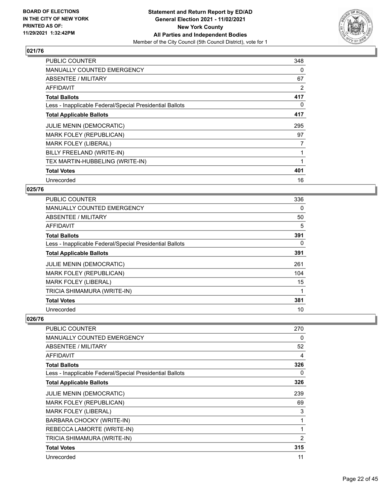

| <b>PUBLIC COUNTER</b>                                    | 348            |
|----------------------------------------------------------|----------------|
| <b>MANUALLY COUNTED EMERGENCY</b>                        | 0              |
| <b>ABSENTEE / MILITARY</b>                               | 67             |
| AFFIDAVIT                                                | 2              |
| <b>Total Ballots</b>                                     | 417            |
| Less - Inapplicable Federal/Special Presidential Ballots | 0              |
| <b>Total Applicable Ballots</b>                          | 417            |
| JULIE MENIN (DEMOCRATIC)                                 | 295            |
| MARK FOLEY (REPUBLICAN)                                  | 97             |
| <b>MARK FOLEY (LIBERAL)</b>                              | $\overline{7}$ |
| BILLY FREELAND (WRITE-IN)                                | 1              |
| TEX MARTIN-HUBBELING (WRITE-IN)                          |                |
| <b>Total Votes</b>                                       | 401            |
| Unrecorded                                               | 16             |

#### **025/76**

| <b>PUBLIC COUNTER</b>                                    | 336      |
|----------------------------------------------------------|----------|
| <b>MANUALLY COUNTED EMERGENCY</b>                        | 0        |
| ABSENTEE / MILITARY                                      | 50       |
| AFFIDAVIT                                                | 5        |
| <b>Total Ballots</b>                                     | 391      |
| Less - Inapplicable Federal/Special Presidential Ballots | $\Omega$ |
| <b>Total Applicable Ballots</b>                          | 391      |
| <b>JULIE MENIN (DEMOCRATIC)</b>                          | 261      |
| MARK FOLEY (REPUBLICAN)                                  | 104      |
| <b>MARK FOLEY (LIBERAL)</b>                              | 15       |
| TRICIA SHIMAMURA (WRITE-IN)                              |          |
| <b>Total Votes</b>                                       | 381      |
| Unrecorded                                               | 10       |

| <b>PUBLIC COUNTER</b>                                    | 270            |
|----------------------------------------------------------|----------------|
| <b>MANUALLY COUNTED EMERGENCY</b>                        | 0              |
| ABSENTEE / MILITARY                                      | 52             |
| <b>AFFIDAVIT</b>                                         | 4              |
| <b>Total Ballots</b>                                     | 326            |
| Less - Inapplicable Federal/Special Presidential Ballots | 0              |
| <b>Total Applicable Ballots</b>                          | 326            |
| JULIE MENIN (DEMOCRATIC)                                 | 239            |
| MARK FOLEY (REPUBLICAN)                                  | 69             |
| MARK FOLEY (LIBERAL)                                     | 3              |
| BARBARA CHOCKY (WRITE-IN)                                | 1              |
| REBECCA LAMORTE (WRITE-IN)                               | 1              |
| TRICIA SHIMAMURA (WRITE-IN)                              | $\overline{2}$ |
| <b>Total Votes</b>                                       | 315            |
| Unrecorded                                               | 11             |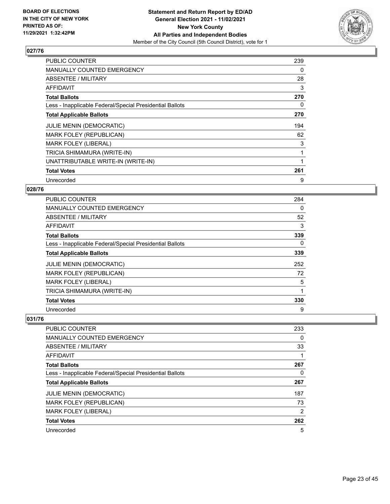

| <b>PUBLIC COUNTER</b>                                    | 239 |
|----------------------------------------------------------|-----|
| <b>MANUALLY COUNTED EMERGENCY</b>                        | 0   |
| <b>ABSENTEE / MILITARY</b>                               | 28  |
| AFFIDAVIT                                                | 3   |
| <b>Total Ballots</b>                                     | 270 |
| Less - Inapplicable Federal/Special Presidential Ballots | 0   |
| <b>Total Applicable Ballots</b>                          | 270 |
| <b>JULIE MENIN (DEMOCRATIC)</b>                          | 194 |
| MARK FOLEY (REPUBLICAN)                                  | 62  |
| <b>MARK FOLEY (LIBERAL)</b>                              | 3   |
| TRICIA SHIMAMURA (WRITE-IN)                              | 1   |
| UNATTRIBUTABLE WRITE-IN (WRITE-IN)                       |     |
| <b>Total Votes</b>                                       | 261 |
| Unrecorded                                               | 9   |

#### **028/76**

| <b>PUBLIC COUNTER</b>                                    | 284 |
|----------------------------------------------------------|-----|
| <b>MANUALLY COUNTED EMERGENCY</b>                        | 0   |
| ABSENTEE / MILITARY                                      | 52  |
| AFFIDAVIT                                                | 3   |
| <b>Total Ballots</b>                                     | 339 |
| Less - Inapplicable Federal/Special Presidential Ballots | 0   |
| <b>Total Applicable Ballots</b>                          | 339 |
| <b>JULIE MENIN (DEMOCRATIC)</b>                          | 252 |
| MARK FOLEY (REPUBLICAN)                                  | 72  |
| <b>MARK FOLEY (LIBERAL)</b>                              | 5   |
| TRICIA SHIMAMURA (WRITE-IN)                              |     |
| <b>Total Votes</b>                                       | 330 |
| Unrecorded                                               | 9   |

| <b>PUBLIC COUNTER</b>                                    | 233            |
|----------------------------------------------------------|----------------|
| <b>MANUALLY COUNTED EMERGENCY</b>                        | 0              |
| ABSENTEE / MILITARY                                      | 33             |
| AFFIDAVIT                                                |                |
| <b>Total Ballots</b>                                     | 267            |
| Less - Inapplicable Federal/Special Presidential Ballots | 0              |
| <b>Total Applicable Ballots</b>                          | 267            |
| <b>JULIE MENIN (DEMOCRATIC)</b>                          | 187            |
| <b>MARK FOLEY (REPUBLICAN)</b>                           | 73             |
| <b>MARK FOLEY (LIBERAL)</b>                              | $\overline{2}$ |
| <b>Total Votes</b>                                       | 262            |
| Unrecorded                                               | 5              |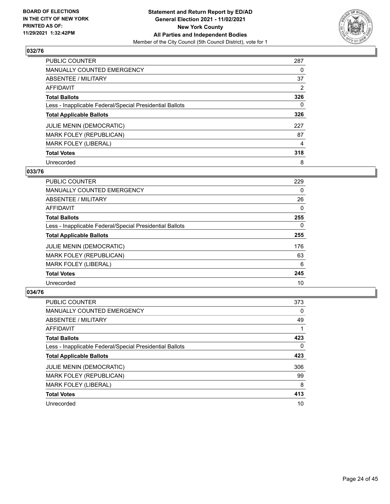

| <b>PUBLIC COUNTER</b>                                    | 287 |
|----------------------------------------------------------|-----|
| <b>MANUALLY COUNTED EMERGENCY</b>                        | 0   |
| <b>ABSENTEE / MILITARY</b>                               | 37  |
| AFFIDAVIT                                                | 2   |
| <b>Total Ballots</b>                                     | 326 |
| Less - Inapplicable Federal/Special Presidential Ballots | 0   |
| <b>Total Applicable Ballots</b>                          | 326 |
| <b>JULIE MENIN (DEMOCRATIC)</b>                          | 227 |
| MARK FOLEY (REPUBLICAN)                                  | 87  |
| MARK FOLEY (LIBERAL)                                     | 4   |
| <b>Total Votes</b>                                       | 318 |
| Unrecorded                                               | 8   |

#### **033/76**

| <b>PUBLIC COUNTER</b>                                    | 229      |
|----------------------------------------------------------|----------|
| <b>MANUALLY COUNTED EMERGENCY</b>                        | 0        |
| ABSENTEE / MILITARY                                      | 26       |
| <b>AFFIDAVIT</b>                                         | $\Omega$ |
| <b>Total Ballots</b>                                     | 255      |
| Less - Inapplicable Federal/Special Presidential Ballots | $\Omega$ |
| <b>Total Applicable Ballots</b>                          | 255      |
| JULIE MENIN (DEMOCRATIC)                                 | 176      |
| <b>MARK FOLEY (REPUBLICAN)</b>                           | 63       |
| MARK FOLEY (LIBERAL)                                     | 6        |
| <b>Total Votes</b>                                       | 245      |
| Unrecorded                                               | 10       |

| <b>PUBLIC COUNTER</b>                                    | 373      |
|----------------------------------------------------------|----------|
| <b>MANUALLY COUNTED EMERGENCY</b>                        | $\Omega$ |
| ABSENTEE / MILITARY                                      | 49       |
| AFFIDAVIT                                                |          |
| <b>Total Ballots</b>                                     | 423      |
| Less - Inapplicable Federal/Special Presidential Ballots | $\Omega$ |
| <b>Total Applicable Ballots</b>                          | 423      |
| <b>JULIE MENIN (DEMOCRATIC)</b>                          | 306      |
| <b>MARK FOLEY (REPUBLICAN)</b>                           | 99       |
| <b>MARK FOLEY (LIBERAL)</b>                              | 8        |
| <b>Total Votes</b>                                       | 413      |
| Unrecorded                                               | 10       |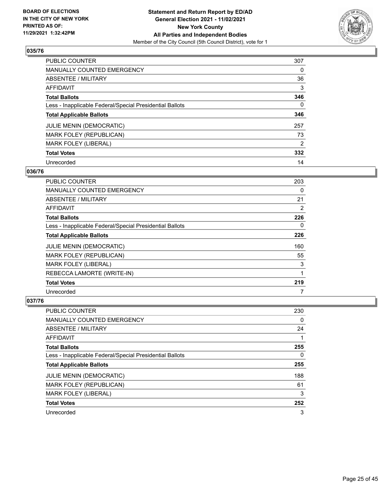

| <b>PUBLIC COUNTER</b>                                    | 307      |
|----------------------------------------------------------|----------|
| <b>MANUALLY COUNTED EMERGENCY</b>                        | 0        |
| ABSENTEE / MILITARY                                      | 36       |
| <b>AFFIDAVIT</b>                                         | 3        |
| <b>Total Ballots</b>                                     | 346      |
| Less - Inapplicable Federal/Special Presidential Ballots | $\Omega$ |
| <b>Total Applicable Ballots</b>                          | 346      |
| <b>JULIE MENIN (DEMOCRATIC)</b>                          | 257      |
| MARK FOLEY (REPUBLICAN)                                  | 73       |
| <b>MARK FOLEY (LIBERAL)</b>                              | 2        |
| <b>Total Votes</b>                                       | 332      |
| Unrecorded                                               | 14       |

#### **036/76**

| PUBLIC COUNTER                                           | 203      |
|----------------------------------------------------------|----------|
| <b>MANUALLY COUNTED EMERGENCY</b>                        | 0        |
| ABSENTEE / MILITARY                                      | 21       |
| <b>AFFIDAVIT</b>                                         | 2        |
| <b>Total Ballots</b>                                     | 226      |
| Less - Inapplicable Federal/Special Presidential Ballots | $\Omega$ |
| <b>Total Applicable Ballots</b>                          | 226      |
| <b>JULIE MENIN (DEMOCRATIC)</b>                          | 160      |
| MARK FOLEY (REPUBLICAN)                                  | 55       |
| <b>MARK FOLEY (LIBERAL)</b>                              | 3        |
| REBECCA LAMORTE (WRITE-IN)                               |          |
| <b>Total Votes</b>                                       | 219      |
| Unrecorded                                               | 7        |

| <b>PUBLIC COUNTER</b>                                    | 230 |
|----------------------------------------------------------|-----|
| <b>MANUALLY COUNTED EMERGENCY</b>                        | 0   |
| ABSENTEE / MILITARY                                      | 24  |
| AFFIDAVIT                                                |     |
| <b>Total Ballots</b>                                     | 255 |
| Less - Inapplicable Federal/Special Presidential Ballots | 0   |
| <b>Total Applicable Ballots</b>                          | 255 |
| <b>JULIE MENIN (DEMOCRATIC)</b>                          | 188 |
| MARK FOLEY (REPUBLICAN)                                  | 61  |
| <b>MARK FOLEY (LIBERAL)</b>                              | 3   |
| <b>Total Votes</b>                                       | 252 |
| Unrecorded                                               | 3   |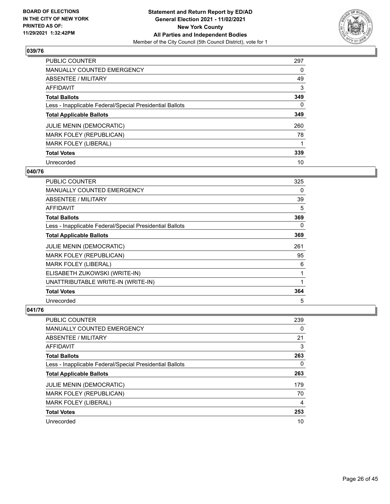

| PUBLIC COUNTER                                           | 297 |
|----------------------------------------------------------|-----|
| <b>MANUALLY COUNTED EMERGENCY</b>                        | 0   |
| ABSENTEE / MILITARY                                      | 49  |
| AFFIDAVIT                                                | 3   |
| <b>Total Ballots</b>                                     | 349 |
| Less - Inapplicable Federal/Special Presidential Ballots | 0   |
| <b>Total Applicable Ballots</b>                          | 349 |
| <b>JULIE MENIN (DEMOCRATIC)</b>                          | 260 |
| MARK FOLEY (REPUBLICAN)                                  | 78  |
| <b>MARK FOLEY (LIBERAL)</b>                              |     |
| <b>Total Votes</b>                                       | 339 |
| Unrecorded                                               | 10  |

#### **040/76**

| <b>PUBLIC COUNTER</b>                                    | 325 |
|----------------------------------------------------------|-----|
| MANUALLY COUNTED EMERGENCY                               | 0   |
| ABSENTEE / MILITARY                                      | 39  |
| <b>AFFIDAVIT</b>                                         | 5   |
| <b>Total Ballots</b>                                     | 369 |
| Less - Inapplicable Federal/Special Presidential Ballots | 0   |
| <b>Total Applicable Ballots</b>                          | 369 |
| <b>JULIE MENIN (DEMOCRATIC)</b>                          | 261 |
| MARK FOLEY (REPUBLICAN)                                  | 95  |
| <b>MARK FOLEY (LIBERAL)</b>                              | 6   |
| ELISABETH ZUKOWSKI (WRITE-IN)                            | 1   |
| UNATTRIBUTABLE WRITE-IN (WRITE-IN)                       | 1   |
| <b>Total Votes</b>                                       | 364 |
| Unrecorded                                               | 5   |

| <b>PUBLIC COUNTER</b>                                    | 239 |
|----------------------------------------------------------|-----|
| <b>MANUALLY COUNTED EMERGENCY</b>                        | 0   |
| ABSENTEE / MILITARY                                      | 21  |
| <b>AFFIDAVIT</b>                                         | 3   |
| <b>Total Ballots</b>                                     | 263 |
| Less - Inapplicable Federal/Special Presidential Ballots | 0   |
| <b>Total Applicable Ballots</b>                          | 263 |
| <b>JULIE MENIN (DEMOCRATIC)</b>                          | 179 |
| <b>MARK FOLEY (REPUBLICAN)</b>                           | 70  |
| MARK FOLEY (LIBERAL)                                     | 4   |
| <b>Total Votes</b>                                       | 253 |
| Unrecorded                                               | 10  |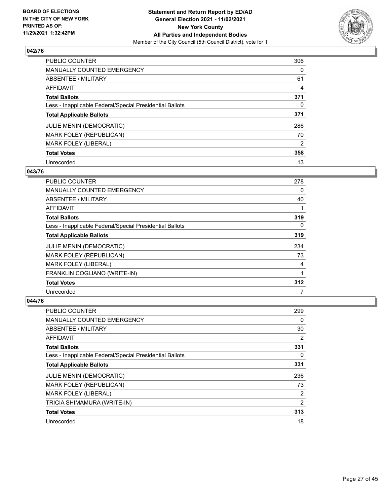

| PUBLIC COUNTER                                           | 306            |
|----------------------------------------------------------|----------------|
| MANUALLY COUNTED EMERGENCY                               | $\Omega$       |
| ABSENTEE / MILITARY                                      | 61             |
| AFFIDAVIT                                                | 4              |
| <b>Total Ballots</b>                                     | 371            |
| Less - Inapplicable Federal/Special Presidential Ballots | 0              |
| <b>Total Applicable Ballots</b>                          | 371            |
| <b>JULIE MENIN (DEMOCRATIC)</b>                          | 286            |
| <b>MARK FOLEY (REPUBLICAN)</b>                           | 70             |
| <b>MARK FOLEY (LIBERAL)</b>                              | $\overline{2}$ |
| <b>Total Votes</b>                                       | 358            |
| Unrecorded                                               | 13             |

#### **043/76**

| PUBLIC COUNTER                                           | 278      |
|----------------------------------------------------------|----------|
| <b>MANUALLY COUNTED EMERGENCY</b>                        | 0        |
| ABSENTEE / MILITARY                                      | 40       |
| <b>AFFIDAVIT</b>                                         |          |
| <b>Total Ballots</b>                                     | 319      |
| Less - Inapplicable Federal/Special Presidential Ballots | $\Omega$ |
| <b>Total Applicable Ballots</b>                          | 319      |
| <b>JULIE MENIN (DEMOCRATIC)</b>                          | 234      |
| MARK FOLEY (REPUBLICAN)                                  | 73       |
| <b>MARK FOLEY (LIBERAL)</b>                              | 4        |
| FRANKLIN COGLIANO (WRITE-IN)                             |          |
| <b>Total Votes</b>                                       | 312      |
| Unrecorded                                               | 7        |

| PUBLIC COUNTER                                           | 299      |
|----------------------------------------------------------|----------|
| MANUALLY COUNTED EMERGENCY                               | 0        |
| ABSENTEE / MILITARY                                      | 30       |
| AFFIDAVIT                                                | 2        |
| <b>Total Ballots</b>                                     | 331      |
| Less - Inapplicable Federal/Special Presidential Ballots | $\Omega$ |
| <b>Total Applicable Ballots</b>                          | 331      |
| <b>JULIE MENIN (DEMOCRATIC)</b>                          | 236      |
| MARK FOLEY (REPUBLICAN)                                  | 73       |
| <b>MARK FOLEY (LIBERAL)</b>                              | 2        |
| TRICIA SHIMAMURA (WRITE-IN)                              | 2        |
| <b>Total Votes</b>                                       | 313      |
| Unrecorded                                               | 18       |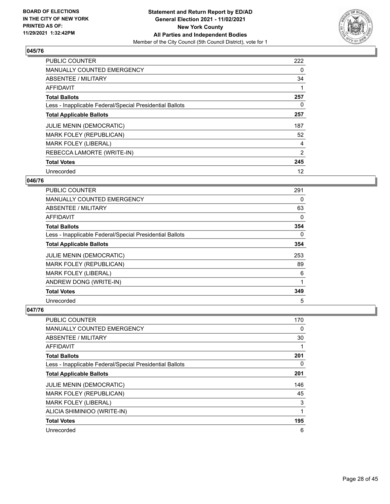

| <b>PUBLIC COUNTER</b>                                    | 222 |
|----------------------------------------------------------|-----|
| <b>MANUALLY COUNTED EMERGENCY</b>                        | 0   |
| ABSENTEE / MILITARY                                      | 34  |
| <b>AFFIDAVIT</b>                                         |     |
| <b>Total Ballots</b>                                     | 257 |
| Less - Inapplicable Federal/Special Presidential Ballots | 0   |
| <b>Total Applicable Ballots</b>                          | 257 |
| <b>JULIE MENIN (DEMOCRATIC)</b>                          | 187 |
| MARK FOLEY (REPUBLICAN)                                  | 52  |
| <b>MARK FOLEY (LIBERAL)</b>                              | 4   |
| REBECCA LAMORTE (WRITE-IN)                               | 2   |
| <b>Total Votes</b>                                       | 245 |
| Unrecorded                                               | 12  |

#### **046/76**

| <b>PUBLIC COUNTER</b>                                    | 291      |
|----------------------------------------------------------|----------|
| <b>MANUALLY COUNTED EMERGENCY</b>                        | 0        |
| ABSENTEE / MILITARY                                      | 63       |
| AFFIDAVIT                                                | 0        |
| <b>Total Ballots</b>                                     | 354      |
| Less - Inapplicable Federal/Special Presidential Ballots | $\Omega$ |
| <b>Total Applicable Ballots</b>                          | 354      |
| <b>JULIE MENIN (DEMOCRATIC)</b>                          | 253      |
| MARK FOLEY (REPUBLICAN)                                  | 89       |
| <b>MARK FOLEY (LIBERAL)</b>                              | 6        |
| ANDREW DONG (WRITE-IN)                                   | 1        |
| <b>Total Votes</b>                                       | 349      |
| Unrecorded                                               | 5        |

| PUBLIC COUNTER                                           | 170 |
|----------------------------------------------------------|-----|
| MANUALLY COUNTED EMERGENCY                               | 0   |
| ABSENTEE / MILITARY                                      | 30  |
| <b>AFFIDAVIT</b>                                         |     |
| <b>Total Ballots</b>                                     | 201 |
| Less - Inapplicable Federal/Special Presidential Ballots | 0   |
| <b>Total Applicable Ballots</b>                          | 201 |
| <b>JULIE MENIN (DEMOCRATIC)</b>                          | 146 |
| <b>MARK FOLEY (REPUBLICAN)</b>                           | 45  |
| <b>MARK FOLEY (LIBERAL)</b>                              | 3   |
| ALICIA SHIMINIOO (WRITE-IN)                              | 1   |
| <b>Total Votes</b>                                       | 195 |
| Unrecorded                                               | 6   |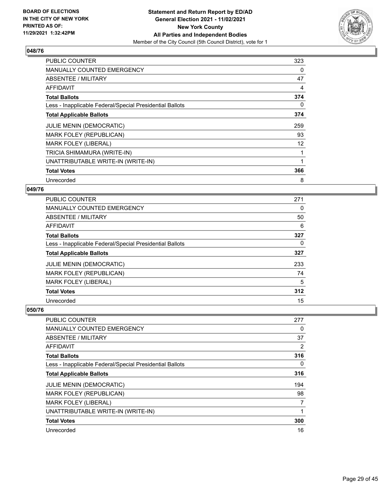

| <b>PUBLIC COUNTER</b>                                    | 323 |
|----------------------------------------------------------|-----|
| <b>MANUALLY COUNTED EMERGENCY</b>                        | 0   |
| ABSENTEE / MILITARY                                      | 47  |
| <b>AFFIDAVIT</b>                                         | 4   |
| <b>Total Ballots</b>                                     | 374 |
| Less - Inapplicable Federal/Special Presidential Ballots | 0   |
| <b>Total Applicable Ballots</b>                          | 374 |
| <b>JULIE MENIN (DEMOCRATIC)</b>                          | 259 |
| MARK FOLEY (REPUBLICAN)                                  | 93  |
| <b>MARK FOLEY (LIBERAL)</b>                              | 12  |
| TRICIA SHIMAMURA (WRITE-IN)                              |     |
| UNATTRIBUTABLE WRITE-IN (WRITE-IN)                       |     |
| <b>Total Votes</b>                                       | 366 |
| Unrecorded                                               | 8   |

#### **049/76**

| <b>PUBLIC COUNTER</b>                                    | 271 |
|----------------------------------------------------------|-----|
| <b>MANUALLY COUNTED EMERGENCY</b>                        | 0   |
| ABSENTEE / MILITARY                                      | 50  |
| AFFIDAVIT                                                | 6   |
| <b>Total Ballots</b>                                     | 327 |
| Less - Inapplicable Federal/Special Presidential Ballots | 0   |
| <b>Total Applicable Ballots</b>                          | 327 |
| <b>JULIE MENIN (DEMOCRATIC)</b>                          | 233 |
| <b>MARK FOLEY (REPUBLICAN)</b>                           | 74  |
| <b>MARK FOLEY (LIBERAL)</b>                              | 5   |
| <b>Total Votes</b>                                       | 312 |
| Unrecorded                                               | 15  |

| PUBLIC COUNTER                                           | 277 |
|----------------------------------------------------------|-----|
| <b>MANUALLY COUNTED EMERGENCY</b>                        | 0   |
| ABSENTEE / MILITARY                                      | 37  |
| AFFIDAVIT                                                | 2   |
| <b>Total Ballots</b>                                     | 316 |
| Less - Inapplicable Federal/Special Presidential Ballots | 0   |
| <b>Total Applicable Ballots</b>                          | 316 |
| <b>JULIE MENIN (DEMOCRATIC)</b>                          | 194 |
| <b>MARK FOLEY (REPUBLICAN)</b>                           | 98  |
| <b>MARK FOLEY (LIBERAL)</b>                              | 7   |
| UNATTRIBUTABLE WRITE-IN (WRITE-IN)                       | 1   |
| <b>Total Votes</b>                                       | 300 |
| Unrecorded                                               | 16  |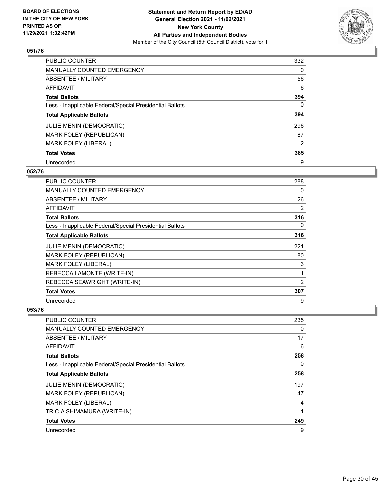

| <b>PUBLIC COUNTER</b>                                    | 332      |
|----------------------------------------------------------|----------|
| <b>MANUALLY COUNTED EMERGENCY</b>                        | 0        |
| ABSENTEE / MILITARY                                      | 56       |
| <b>AFFIDAVIT</b>                                         | 6        |
| <b>Total Ballots</b>                                     | 394      |
| Less - Inapplicable Federal/Special Presidential Ballots | $\Omega$ |
| <b>Total Applicable Ballots</b>                          | 394      |
| <b>JULIE MENIN (DEMOCRATIC)</b>                          | 296      |
| MARK FOLEY (REPUBLICAN)                                  | 87       |
| <b>MARK FOLEY (LIBERAL)</b>                              | 2        |
| <b>Total Votes</b>                                       | 385      |
| Unrecorded                                               | 9        |

#### **052/76**

| <b>PUBLIC COUNTER</b>                                    | 288 |
|----------------------------------------------------------|-----|
| MANUALLY COUNTED EMERGENCY                               | 0   |
| ABSENTEE / MILITARY                                      | 26  |
| <b>AFFIDAVIT</b>                                         | 2   |
| <b>Total Ballots</b>                                     | 316 |
| Less - Inapplicable Federal/Special Presidential Ballots | 0   |
| <b>Total Applicable Ballots</b>                          | 316 |
| <b>JULIE MENIN (DEMOCRATIC)</b>                          | 221 |
| MARK FOLEY (REPUBLICAN)                                  | 80  |
| <b>MARK FOLEY (LIBERAL)</b>                              | 3   |
| REBECCA LAMONTE (WRITE-IN)                               | 1   |
| REBECCA SEAWRIGHT (WRITE-IN)                             | 2   |
| <b>Total Votes</b>                                       | 307 |
| Unrecorded                                               | 9   |

| <b>PUBLIC COUNTER</b>                                    | 235 |
|----------------------------------------------------------|-----|
| MANUALLY COUNTED EMERGENCY                               | 0   |
| ABSENTEE / MILITARY                                      | 17  |
| AFFIDAVIT                                                | 6   |
| <b>Total Ballots</b>                                     | 258 |
| Less - Inapplicable Federal/Special Presidential Ballots | 0   |
| <b>Total Applicable Ballots</b>                          | 258 |
| <b>JULIE MENIN (DEMOCRATIC)</b>                          | 197 |
| MARK FOLEY (REPUBLICAN)                                  | 47  |
| <b>MARK FOLEY (LIBERAL)</b>                              | 4   |
| TRICIA SHIMAMURA (WRITE-IN)                              | 1   |
| <b>Total Votes</b>                                       | 249 |
| Unrecorded                                               | 9   |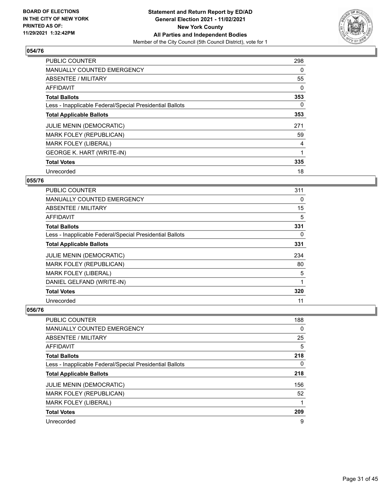

| <b>PUBLIC COUNTER</b>                                    | 298 |
|----------------------------------------------------------|-----|
| <b>MANUALLY COUNTED EMERGENCY</b>                        | 0   |
| ABSENTEE / MILITARY                                      | 55  |
| AFFIDAVIT                                                | 0   |
| <b>Total Ballots</b>                                     | 353 |
| Less - Inapplicable Federal/Special Presidential Ballots | 0   |
| <b>Total Applicable Ballots</b>                          | 353 |
| <b>JULIE MENIN (DEMOCRATIC)</b>                          | 271 |
| MARK FOLEY (REPUBLICAN)                                  | 59  |
| <b>MARK FOLEY (LIBERAL)</b>                              | 4   |
| <b>GEORGE K. HART (WRITE-IN)</b>                         | 1   |
| <b>Total Votes</b>                                       | 335 |
| Unrecorded                                               | 18  |

#### **055/76**

| PUBLIC COUNTER                                           | 311      |
|----------------------------------------------------------|----------|
| <b>MANUALLY COUNTED EMERGENCY</b>                        | $\Omega$ |
| ABSENTEE / MILITARY                                      | 15       |
| AFFIDAVIT                                                | 5        |
| <b>Total Ballots</b>                                     | 331      |
| Less - Inapplicable Federal/Special Presidential Ballots | 0        |
| <b>Total Applicable Ballots</b>                          | 331      |
| <b>JULIE MENIN (DEMOCRATIC)</b>                          | 234      |
| MARK FOLEY (REPUBLICAN)                                  | 80       |
| MARK FOLEY (LIBERAL)                                     | 5        |
| DANIEL GELFAND (WRITE-IN)                                | 1        |
| <b>Total Votes</b>                                       | 320      |
| Unrecorded                                               | 11       |

| <b>PUBLIC COUNTER</b>                                    | 188 |
|----------------------------------------------------------|-----|
| <b>MANUALLY COUNTED EMERGENCY</b>                        | 0   |
| ABSENTEE / MILITARY                                      | 25  |
| AFFIDAVIT                                                | 5   |
| <b>Total Ballots</b>                                     | 218 |
| Less - Inapplicable Federal/Special Presidential Ballots | 0   |
| <b>Total Applicable Ballots</b>                          | 218 |
| <b>JULIE MENIN (DEMOCRATIC)</b>                          | 156 |
| MARK FOLEY (REPUBLICAN)                                  | 52  |
| <b>MARK FOLEY (LIBERAL)</b>                              | 1   |
| <b>Total Votes</b>                                       | 209 |
| Unrecorded                                               | 9   |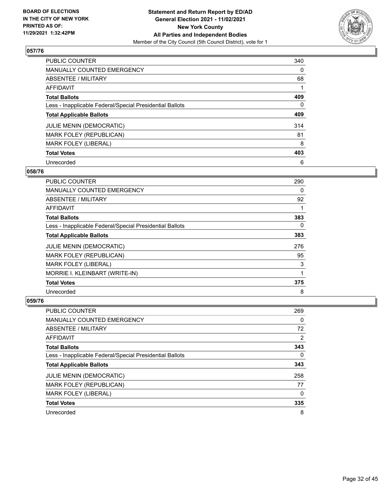

| <b>PUBLIC COUNTER</b>                                    | 340      |
|----------------------------------------------------------|----------|
| <b>MANUALLY COUNTED EMERGENCY</b>                        | 0        |
| ABSENTEE / MILITARY                                      | 68       |
| <b>AFFIDAVIT</b>                                         |          |
| <b>Total Ballots</b>                                     | 409      |
| Less - Inapplicable Federal/Special Presidential Ballots | $\Omega$ |
| <b>Total Applicable Ballots</b>                          | 409      |
| <b>JULIE MENIN (DEMOCRATIC)</b>                          | 314      |
| <b>MARK FOLEY (REPUBLICAN)</b>                           | 81       |
| <b>MARK FOLEY (LIBERAL)</b>                              | 8        |
| <b>Total Votes</b>                                       | 403      |
| Unrecorded                                               | 6        |

#### **058/76**

| PUBLIC COUNTER                                           | 290      |
|----------------------------------------------------------|----------|
| <b>MANUALLY COUNTED EMERGENCY</b>                        | 0        |
| ABSENTEE / MILITARY                                      | 92       |
| <b>AFFIDAVIT</b>                                         |          |
| <b>Total Ballots</b>                                     | 383      |
| Less - Inapplicable Federal/Special Presidential Ballots | $\Omega$ |
| <b>Total Applicable Ballots</b>                          | 383      |
| <b>JULIE MENIN (DEMOCRATIC)</b>                          | 276      |
| MARK FOLEY (REPUBLICAN)                                  | 95       |
| <b>MARK FOLEY (LIBERAL)</b>                              | 3        |
| MORRIE I. KLEINBART (WRITE-IN)                           |          |
| <b>Total Votes</b>                                       | 375      |
| Unrecorded                                               | 8        |

| <b>PUBLIC COUNTER</b>                                    | 269 |
|----------------------------------------------------------|-----|
| <b>MANUALLY COUNTED EMERGENCY</b>                        | 0   |
| ABSENTEE / MILITARY                                      | 72  |
| AFFIDAVIT                                                | 2   |
| <b>Total Ballots</b>                                     | 343 |
| Less - Inapplicable Federal/Special Presidential Ballots | 0   |
| <b>Total Applicable Ballots</b>                          | 343 |
| <b>JULIE MENIN (DEMOCRATIC)</b>                          | 258 |
| <b>MARK FOLEY (REPUBLICAN)</b>                           | 77  |
| <b>MARK FOLEY (LIBERAL)</b>                              | 0   |
| <b>Total Votes</b>                                       | 335 |
| Unrecorded                                               | 8   |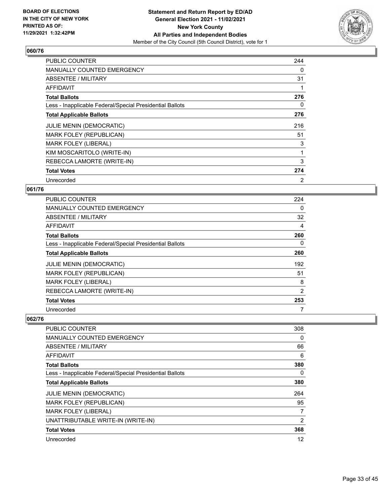

| <b>PUBLIC COUNTER</b>                                    | 244            |
|----------------------------------------------------------|----------------|
| <b>MANUALLY COUNTED EMERGENCY</b>                        | 0              |
| ABSENTEE / MILITARY                                      | 31             |
| <b>AFFIDAVIT</b>                                         |                |
| <b>Total Ballots</b>                                     | 276            |
| Less - Inapplicable Federal/Special Presidential Ballots | 0              |
| <b>Total Applicable Ballots</b>                          | 276            |
| <b>JULIE MENIN (DEMOCRATIC)</b>                          | 216            |
| MARK FOLEY (REPUBLICAN)                                  | 51             |
| <b>MARK FOLEY (LIBERAL)</b>                              | 3              |
| KIM MOSCARITOLO (WRITE-IN)                               | 1              |
| REBECCA LAMORTE (WRITE-IN)                               | 3              |
| <b>Total Votes</b>                                       | 274            |
| Unrecorded                                               | $\overline{2}$ |

#### **061/76**

| <b>PUBLIC COUNTER</b>                                    | 224      |
|----------------------------------------------------------|----------|
| MANUALLY COUNTED EMERGENCY                               | $\Omega$ |
| ABSENTEE / MILITARY                                      | 32       |
| AFFIDAVIT                                                | 4        |
| <b>Total Ballots</b>                                     | 260      |
| Less - Inapplicable Federal/Special Presidential Ballots | $\Omega$ |
| <b>Total Applicable Ballots</b>                          | 260      |
| <b>JULIE MENIN (DEMOCRATIC)</b>                          | 192      |
| MARK FOLEY (REPUBLICAN)                                  | 51       |
| <b>MARK FOLEY (LIBERAL)</b>                              | 8        |
| REBECCA LAMORTE (WRITE-IN)                               | 2        |
| <b>Total Votes</b>                                       | 253      |
| Unrecorded                                               | 7        |

| PUBLIC COUNTER                                           | 308      |
|----------------------------------------------------------|----------|
| <b>MANUALLY COUNTED EMERGENCY</b>                        | $\Omega$ |
| ABSENTEE / MILITARY                                      | 66       |
| AFFIDAVIT                                                | 6        |
| <b>Total Ballots</b>                                     | 380      |
| Less - Inapplicable Federal/Special Presidential Ballots | 0        |
| <b>Total Applicable Ballots</b>                          | 380      |
| <b>JULIE MENIN (DEMOCRATIC)</b>                          | 264      |
| MARK FOLEY (REPUBLICAN)                                  | 95       |
| <b>MARK FOLEY (LIBERAL)</b>                              | 7        |
| UNATTRIBUTABLE WRITE-IN (WRITE-IN)                       | 2        |
| <b>Total Votes</b>                                       | 368      |
| Unrecorded                                               | 12       |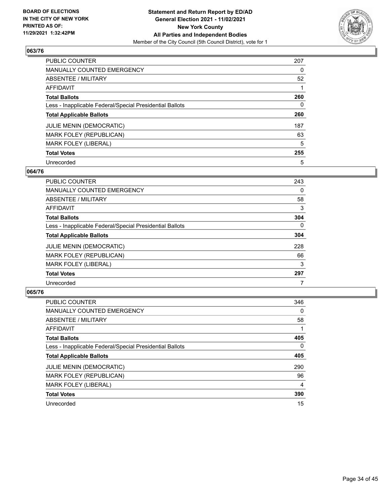

| PUBLIC COUNTER                                           | 207 |
|----------------------------------------------------------|-----|
| <b>MANUALLY COUNTED EMERGENCY</b>                        | 0   |
| ABSENTEE / MILITARY                                      | 52  |
| AFFIDAVIT                                                |     |
| <b>Total Ballots</b>                                     | 260 |
| Less - Inapplicable Federal/Special Presidential Ballots | 0   |
| <b>Total Applicable Ballots</b>                          | 260 |
| <b>JULIE MENIN (DEMOCRATIC)</b>                          | 187 |
| MARK FOLEY (REPUBLICAN)                                  | 63  |
| <b>MARK FOLEY (LIBERAL)</b>                              | 5   |
| <b>Total Votes</b>                                       | 255 |
| Unrecorded                                               | 5   |

#### **064/76**

| <b>PUBLIC COUNTER</b>                                    | 243 |
|----------------------------------------------------------|-----|
| <b>MANUALLY COUNTED EMERGENCY</b>                        | 0   |
| ABSENTEE / MILITARY                                      | 58  |
| <b>AFFIDAVIT</b>                                         | 3   |
| <b>Total Ballots</b>                                     | 304 |
| Less - Inapplicable Federal/Special Presidential Ballots | 0   |
| <b>Total Applicable Ballots</b>                          | 304 |
| <b>JULIE MENIN (DEMOCRATIC)</b>                          | 228 |
| MARK FOLEY (REPUBLICAN)                                  | 66  |
| <b>MARK FOLEY (LIBERAL)</b>                              | 3   |
| <b>Total Votes</b>                                       | 297 |
| Unrecorded                                               |     |

| <b>PUBLIC COUNTER</b>                                    | 346            |
|----------------------------------------------------------|----------------|
| MANUALLY COUNTED EMERGENCY                               | 0              |
| ABSENTEE / MILITARY                                      | 58             |
| AFFIDAVIT                                                |                |
| <b>Total Ballots</b>                                     | 405            |
| Less - Inapplicable Federal/Special Presidential Ballots | $\Omega$       |
| <b>Total Applicable Ballots</b>                          | 405            |
| <b>JULIE MENIN (DEMOCRATIC)</b>                          | 290            |
| MARK FOLEY (REPUBLICAN)                                  | 96             |
| <b>MARK FOLEY (LIBERAL)</b>                              | $\overline{4}$ |
| <b>Total Votes</b>                                       | 390            |
| Unrecorded                                               | 15             |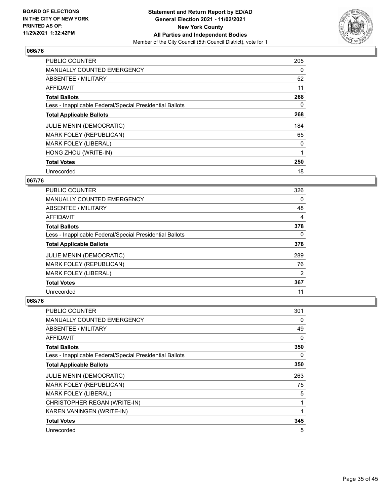

| <b>PUBLIC COUNTER</b>                                    | 205 |
|----------------------------------------------------------|-----|
| <b>MANUALLY COUNTED EMERGENCY</b>                        | 0   |
| ABSENTEE / MILITARY                                      | 52  |
| <b>AFFIDAVIT</b>                                         | 11  |
| <b>Total Ballots</b>                                     | 268 |
| Less - Inapplicable Federal/Special Presidential Ballots | 0   |
| <b>Total Applicable Ballots</b>                          | 268 |
| <b>JULIE MENIN (DEMOCRATIC)</b>                          | 184 |
| <b>MARK FOLEY (REPUBLICAN)</b>                           | 65  |
| <b>MARK FOLEY (LIBERAL)</b>                              | 0   |
| HONG ZHOU (WRITE-IN)                                     | 1   |
| <b>Total Votes</b>                                       | 250 |
| Unrecorded                                               | 18  |

#### **067/76**

| <b>PUBLIC COUNTER</b>                                    | 326 |
|----------------------------------------------------------|-----|
| <b>MANUALLY COUNTED EMERGENCY</b>                        | 0   |
| ABSENTEE / MILITARY                                      | 48  |
| <b>AFFIDAVIT</b>                                         | 4   |
| <b>Total Ballots</b>                                     | 378 |
| Less - Inapplicable Federal/Special Presidential Ballots | 0   |
| <b>Total Applicable Ballots</b>                          | 378 |
| <b>JULIE MENIN (DEMOCRATIC)</b>                          | 289 |
| MARK FOLEY (REPUBLICAN)                                  | 76  |
| MARK FOLEY (LIBERAL)                                     | 2   |
| <b>Total Votes</b>                                       | 367 |
| Unrecorded                                               | 11  |

| <b>PUBLIC COUNTER</b>                                    | 301          |
|----------------------------------------------------------|--------------|
| MANUALLY COUNTED EMERGENCY                               | 0            |
| ABSENTEE / MILITARY                                      | 49           |
| AFFIDAVIT                                                | 0            |
| <b>Total Ballots</b>                                     | 350          |
| Less - Inapplicable Federal/Special Presidential Ballots | 0            |
| <b>Total Applicable Ballots</b>                          | 350          |
| JULIE MENIN (DEMOCRATIC)                                 | 263          |
| MARK FOLEY (REPUBLICAN)                                  | 75           |
| <b>MARK FOLEY (LIBERAL)</b>                              | 5            |
| CHRISTOPHER REGAN (WRITE-IN)                             | 1            |
| KAREN VANINGEN (WRITE-IN)                                | $\mathbf{1}$ |
| <b>Total Votes</b>                                       | 345          |
| Unrecorded                                               | 5            |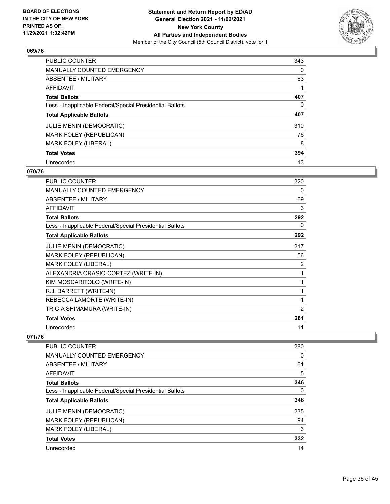

| <b>PUBLIC COUNTER</b>                                    | 343      |
|----------------------------------------------------------|----------|
| <b>MANUALLY COUNTED EMERGENCY</b>                        | $\Omega$ |
| ABSENTEE / MILITARY                                      | 63       |
| AFFIDAVIT                                                |          |
| <b>Total Ballots</b>                                     | 407      |
| Less - Inapplicable Federal/Special Presidential Ballots | 0        |
| <b>Total Applicable Ballots</b>                          | 407      |
| <b>JULIE MENIN (DEMOCRATIC)</b>                          | 310      |
| <b>MARK FOLEY (REPUBLICAN)</b>                           | 76       |
| <b>MARK FOLEY (LIBERAL)</b>                              | 8        |
| <b>Total Votes</b>                                       | 394      |
| Unrecorded                                               | 13       |

#### **070/76**

| <b>PUBLIC COUNTER</b>                                    | 220            |
|----------------------------------------------------------|----------------|
| <b>MANUALLY COUNTED EMERGENCY</b>                        | 0              |
| <b>ABSENTEE / MILITARY</b>                               | 69             |
| <b>AFFIDAVIT</b>                                         | 3              |
| <b>Total Ballots</b>                                     | 292            |
| Less - Inapplicable Federal/Special Presidential Ballots | 0              |
| <b>Total Applicable Ballots</b>                          | 292            |
| <b>JULIE MENIN (DEMOCRATIC)</b>                          | 217            |
| <b>MARK FOLEY (REPUBLICAN)</b>                           | 56             |
| <b>MARK FOLEY (LIBERAL)</b>                              | 2              |
| ALEXANDRIA ORASIO-CORTEZ (WRITE-IN)                      | 1              |
| KIM MOSCARITOLO (WRITE-IN)                               |                |
| R.J. BARRETT (WRITE-IN)                                  | 1              |
| REBECCA LAMORTE (WRITE-IN)                               | 1              |
| TRICIA SHIMAMURA (WRITE-IN)                              | $\overline{2}$ |
| <b>Total Votes</b>                                       | 281            |
| Unrecorded                                               | 11             |

| <b>PUBLIC COUNTER</b>                                    | 280 |
|----------------------------------------------------------|-----|
| <b>MANUALLY COUNTED EMERGENCY</b>                        | 0   |
| ABSENTEE / MILITARY                                      | 61  |
| AFFIDAVIT                                                | 5   |
| <b>Total Ballots</b>                                     | 346 |
| Less - Inapplicable Federal/Special Presidential Ballots | 0   |
| <b>Total Applicable Ballots</b>                          | 346 |
| <b>JULIE MENIN (DEMOCRATIC)</b>                          | 235 |
| <b>MARK FOLEY (REPUBLICAN)</b>                           | 94  |
| MARK FOLEY (LIBERAL)                                     | 3   |
| <b>Total Votes</b>                                       | 332 |
| Unrecorded                                               | 14  |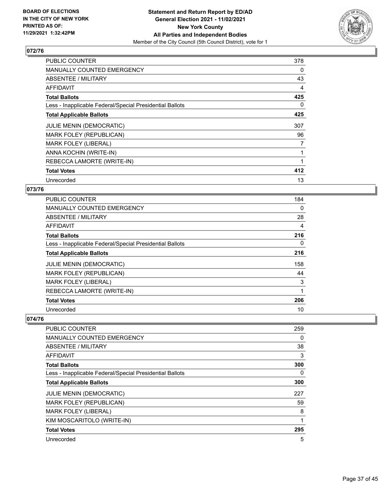

| <b>PUBLIC COUNTER</b>                                    | 378            |
|----------------------------------------------------------|----------------|
| <b>MANUALLY COUNTED EMERGENCY</b>                        | 0              |
| <b>ABSENTEE / MILITARY</b>                               | 43             |
| AFFIDAVIT                                                | 4              |
| <b>Total Ballots</b>                                     | 425            |
| Less - Inapplicable Federal/Special Presidential Ballots | 0              |
| <b>Total Applicable Ballots</b>                          | 425            |
| JULIE MENIN (DEMOCRATIC)                                 | 307            |
| MARK FOLEY (REPUBLICAN)                                  | 96             |
| <b>MARK FOLEY (LIBERAL)</b>                              | $\overline{7}$ |
| ANNA KOCHIN (WRITE-IN)                                   | 1              |
| REBECCA LAMORTE (WRITE-IN)                               |                |
| <b>Total Votes</b>                                       | 412            |
| Unrecorded                                               | 13             |

#### **073/76**

| PUBLIC COUNTER                                           | 184      |
|----------------------------------------------------------|----------|
| <b>MANUALLY COUNTED EMERGENCY</b>                        | $\Omega$ |
| ABSENTEE / MILITARY                                      | 28       |
| <b>AFFIDAVIT</b>                                         | 4        |
| <b>Total Ballots</b>                                     | 216      |
| Less - Inapplicable Federal/Special Presidential Ballots | $\Omega$ |
| <b>Total Applicable Ballots</b>                          | 216      |
| <b>JULIE MENIN (DEMOCRATIC)</b>                          | 158      |
| MARK FOLEY (REPUBLICAN)                                  | 44       |
| <b>MARK FOLEY (LIBERAL)</b>                              | 3        |
| REBECCA LAMORTE (WRITE-IN)                               |          |
| <b>Total Votes</b>                                       | 206      |
| Unrecorded                                               | 10       |

| PUBLIC COUNTER                                           | 259 |
|----------------------------------------------------------|-----|
| <b>MANUALLY COUNTED EMERGENCY</b>                        | 0   |
| ABSENTEE / MILITARY                                      | 38  |
| AFFIDAVIT                                                | 3   |
| <b>Total Ballots</b>                                     | 300 |
| Less - Inapplicable Federal/Special Presidential Ballots | 0   |
| <b>Total Applicable Ballots</b>                          | 300 |
| <b>JULIE MENIN (DEMOCRATIC)</b>                          | 227 |
| MARK FOLEY (REPUBLICAN)                                  | 59  |
| <b>MARK FOLEY (LIBERAL)</b>                              | 8   |
| KIM MOSCARITOLO (WRITE-IN)                               | 1   |
| <b>Total Votes</b>                                       | 295 |
| Unrecorded                                               | 5   |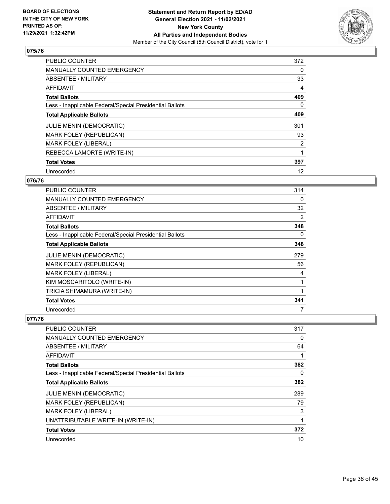

| PUBLIC COUNTER                                           | 372 |
|----------------------------------------------------------|-----|
| <b>MANUALLY COUNTED EMERGENCY</b>                        | 0   |
| ABSENTEE / MILITARY                                      | 33  |
| <b>AFFIDAVIT</b>                                         | 4   |
| <b>Total Ballots</b>                                     | 409 |
| Less - Inapplicable Federal/Special Presidential Ballots | 0   |
| <b>Total Applicable Ballots</b>                          | 409 |
| <b>JULIE MENIN (DEMOCRATIC)</b>                          | 301 |
| <b>MARK FOLEY (REPUBLICAN)</b>                           | 93  |
| <b>MARK FOLEY (LIBERAL)</b>                              | 2   |
| REBECCA LAMORTE (WRITE-IN)                               | 1   |
| <b>Total Votes</b>                                       | 397 |
| Unrecorded                                               | 12  |

#### **076/76**

| PUBLIC COUNTER                                           | 314 |
|----------------------------------------------------------|-----|
| <b>MANUALLY COUNTED EMERGENCY</b>                        | 0   |
| <b>ABSENTEE / MILITARY</b>                               | 32  |
| AFFIDAVIT                                                | 2   |
| <b>Total Ballots</b>                                     | 348 |
| Less - Inapplicable Federal/Special Presidential Ballots | 0   |
| <b>Total Applicable Ballots</b>                          | 348 |
| <b>JULIE MENIN (DEMOCRATIC)</b>                          | 279 |
| MARK FOLEY (REPUBLICAN)                                  | 56  |
| MARK FOLEY (LIBERAL)                                     | 4   |
| KIM MOSCARITOLO (WRITE-IN)                               | 1   |
| TRICIA SHIMAMURA (WRITE-IN)                              | 1   |
| <b>Total Votes</b>                                       | 341 |
| Unrecorded                                               | 7   |

| PUBLIC COUNTER                                           | 317 |
|----------------------------------------------------------|-----|
| MANUALLY COUNTED EMERGENCY                               | 0   |
| ABSENTEE / MILITARY                                      | 64  |
| AFFIDAVIT                                                |     |
| <b>Total Ballots</b>                                     | 382 |
| Less - Inapplicable Federal/Special Presidential Ballots | 0   |
| <b>Total Applicable Ballots</b>                          | 382 |
| <b>JULIE MENIN (DEMOCRATIC)</b>                          | 289 |
| <b>MARK FOLEY (REPUBLICAN)</b>                           | 79  |
| <b>MARK FOLEY (LIBERAL)</b>                              | 3   |
| UNATTRIBUTABLE WRITE-IN (WRITE-IN)                       |     |
| <b>Total Votes</b>                                       | 372 |
| Unrecorded                                               | 10  |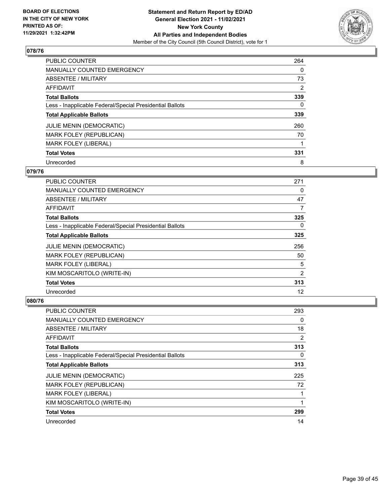

| PUBLIC COUNTER                                           | 264            |
|----------------------------------------------------------|----------------|
| MANUALLY COUNTED EMERGENCY                               | $\Omega$       |
| ABSENTEE / MILITARY                                      | 73             |
| AFFIDAVIT                                                | $\overline{2}$ |
| <b>Total Ballots</b>                                     | 339            |
| Less - Inapplicable Federal/Special Presidential Ballots | 0              |
| <b>Total Applicable Ballots</b>                          | 339            |
| <b>JULIE MENIN (DEMOCRATIC)</b>                          | 260            |
| MARK FOLEY (REPUBLICAN)                                  | 70             |
| <b>MARK FOLEY (LIBERAL)</b>                              |                |
| <b>Total Votes</b>                                       | 331            |
| Unrecorded                                               | 8              |

#### **079/76**

| PUBLIC COUNTER                                           | 271      |
|----------------------------------------------------------|----------|
| <b>MANUALLY COUNTED EMERGENCY</b>                        | 0        |
| ABSENTEE / MILITARY                                      | 47       |
| <b>AFFIDAVIT</b>                                         | 7        |
| <b>Total Ballots</b>                                     | 325      |
| Less - Inapplicable Federal/Special Presidential Ballots | $\Omega$ |
| <b>Total Applicable Ballots</b>                          | 325      |
| <b>JULIE MENIN (DEMOCRATIC)</b>                          | 256      |
| MARK FOLEY (REPUBLICAN)                                  | 50       |
| <b>MARK FOLEY (LIBERAL)</b>                              | 5        |
| KIM MOSCARITOLO (WRITE-IN)                               | 2        |
| <b>Total Votes</b>                                       | 313      |
| Unrecorded                                               | 12       |

| <b>PUBLIC COUNTER</b>                                    | 293      |
|----------------------------------------------------------|----------|
| MANUALLY COUNTED EMERGENCY                               | 0        |
| ABSENTEE / MILITARY                                      | 18       |
| AFFIDAVIT                                                | 2        |
| <b>Total Ballots</b>                                     | 313      |
| Less - Inapplicable Federal/Special Presidential Ballots | $\Omega$ |
| <b>Total Applicable Ballots</b>                          | 313      |
| <b>JULIE MENIN (DEMOCRATIC)</b>                          | 225      |
| MARK FOLEY (REPUBLICAN)                                  | 72       |
| <b>MARK FOLEY (LIBERAL)</b>                              | 1        |
| KIM MOSCARITOLO (WRITE-IN)                               | 1        |
| <b>Total Votes</b>                                       | 299      |
| Unrecorded                                               | 14       |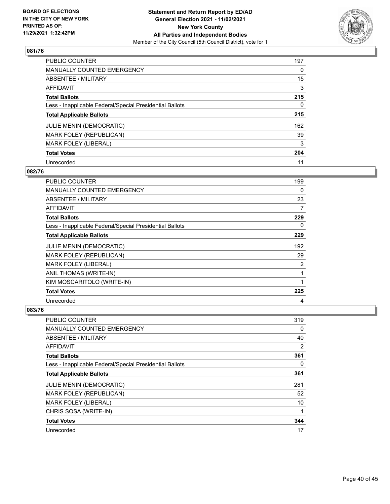

| <b>PUBLIC COUNTER</b>                                    | 197 |
|----------------------------------------------------------|-----|
| MANUALLY COUNTED EMERGENCY                               | 0   |
| ABSENTEE / MILITARY                                      | 15  |
| AFFIDAVIT                                                | 3   |
| <b>Total Ballots</b>                                     | 215 |
| Less - Inapplicable Federal/Special Presidential Ballots | 0   |
| <b>Total Applicable Ballots</b>                          | 215 |
| <b>JULIE MENIN (DEMOCRATIC)</b>                          | 162 |
| <b>MARK FOLEY (REPUBLICAN)</b>                           | 39  |
| <b>MARK FOLEY (LIBERAL)</b>                              | 3   |
| <b>Total Votes</b>                                       | 204 |
| Unrecorded                                               | 11  |

#### **082/76**

| <b>PUBLIC COUNTER</b>                                    | 199 |
|----------------------------------------------------------|-----|
| <b>MANUALLY COUNTED EMERGENCY</b>                        | 0   |
| ABSENTEE / MILITARY                                      | 23  |
| <b>AFFIDAVIT</b>                                         | 7   |
| <b>Total Ballots</b>                                     | 229 |
| Less - Inapplicable Federal/Special Presidential Ballots | 0   |
| <b>Total Applicable Ballots</b>                          | 229 |
| <b>JULIE MENIN (DEMOCRATIC)</b>                          | 192 |
| MARK FOLEY (REPUBLICAN)                                  | 29  |
| <b>MARK FOLEY (LIBERAL)</b>                              | 2   |
| ANIL THOMAS (WRITE-IN)                                   | 1   |
| KIM MOSCARITOLO (WRITE-IN)                               | 1   |
| <b>Total Votes</b>                                       | 225 |
| Unrecorded                                               | 4   |

| <b>PUBLIC COUNTER</b>                                    | 319            |
|----------------------------------------------------------|----------------|
| <b>MANUALLY COUNTED EMERGENCY</b>                        | 0              |
| ABSENTEE / MILITARY                                      | 40             |
| AFFIDAVIT                                                | $\overline{2}$ |
| <b>Total Ballots</b>                                     | 361            |
| Less - Inapplicable Federal/Special Presidential Ballots | 0              |
| <b>Total Applicable Ballots</b>                          | 361            |
| <b>JULIE MENIN (DEMOCRATIC)</b>                          | 281            |
| MARK FOLEY (REPUBLICAN)                                  | 52             |
| <b>MARK FOLEY (LIBERAL)</b>                              | 10             |
| CHRIS SOSA (WRITE-IN)                                    | 1              |
| <b>Total Votes</b>                                       | 344            |
| Unrecorded                                               | 17             |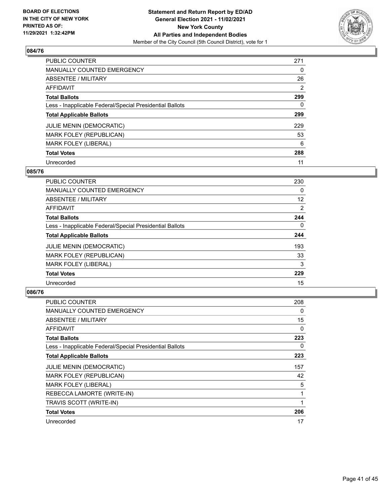

| PUBLIC COUNTER                                           | 271 |
|----------------------------------------------------------|-----|
| <b>MANUALLY COUNTED EMERGENCY</b>                        | 0   |
| ABSENTEE / MILITARY                                      | 26  |
| AFFIDAVIT                                                | 2   |
| <b>Total Ballots</b>                                     | 299 |
| Less - Inapplicable Federal/Special Presidential Ballots | 0   |
| <b>Total Applicable Ballots</b>                          | 299 |
| <b>JULIE MENIN (DEMOCRATIC)</b>                          | 229 |
| MARK FOLEY (REPUBLICAN)                                  | 53  |
| <b>MARK FOLEY (LIBERAL)</b>                              | 6   |
| <b>Total Votes</b>                                       | 288 |
| Unrecorded                                               | 11  |

#### **085/76**

| <b>PUBLIC COUNTER</b>                                    | 230            |
|----------------------------------------------------------|----------------|
| <b>MANUALLY COUNTED EMERGENCY</b>                        | $\Omega$       |
| ABSENTEE / MILITARY                                      | 12             |
| <b>AFFIDAVIT</b>                                         | $\overline{2}$ |
| <b>Total Ballots</b>                                     | 244            |
| Less - Inapplicable Federal/Special Presidential Ballots | $\Omega$       |
| <b>Total Applicable Ballots</b>                          | 244            |
| JULIE MENIN (DEMOCRATIC)                                 | 193            |
| MARK FOLEY (REPUBLICAN)                                  | 33             |
| <b>MARK FOLEY (LIBERAL)</b>                              | 3              |
| <b>Total Votes</b>                                       | 229            |
| Unrecorded                                               | 15             |

| <b>PUBLIC COUNTER</b>                                    | 208 |
|----------------------------------------------------------|-----|
| <b>MANUALLY COUNTED EMERGENCY</b>                        | 0   |
| ABSENTEE / MILITARY                                      | 15  |
| AFFIDAVIT                                                | 0   |
| <b>Total Ballots</b>                                     | 223 |
| Less - Inapplicable Federal/Special Presidential Ballots | 0   |
| <b>Total Applicable Ballots</b>                          | 223 |
| <b>JULIE MENIN (DEMOCRATIC)</b>                          | 157 |
| <b>MARK FOLEY (REPUBLICAN)</b>                           | 42  |
| <b>MARK FOLEY (LIBERAL)</b>                              | 5   |
| REBECCA LAMORTE (WRITE-IN)                               |     |
| TRAVIS SCOTT (WRITE-IN)                                  | 1   |
| <b>Total Votes</b>                                       | 206 |
| Unrecorded                                               | 17  |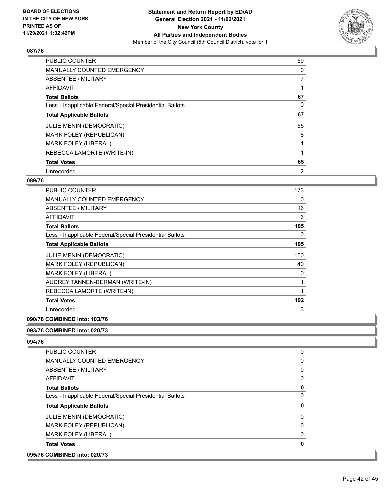

| <b>PUBLIC COUNTER</b>                                    | 59             |
|----------------------------------------------------------|----------------|
| <b>MANUALLY COUNTED EMERGENCY</b>                        | 0              |
| ABSENTEE / MILITARY                                      | $\overline{7}$ |
| <b>AFFIDAVIT</b>                                         |                |
| <b>Total Ballots</b>                                     | 67             |
| Less - Inapplicable Federal/Special Presidential Ballots | 0              |
| <b>Total Applicable Ballots</b>                          | 67             |
| <b>JULIE MENIN (DEMOCRATIC)</b>                          | 55             |
| MARK FOLEY (REPUBLICAN)                                  | 8              |
| <b>MARK FOLEY (LIBERAL)</b>                              |                |
| REBECCA LAMORTE (WRITE-IN)                               |                |
| <b>Total Votes</b>                                       | 65             |
| Unrecorded                                               | $\overline{2}$ |

#### **089/76**

| PUBLIC COUNTER                                           | 173 |
|----------------------------------------------------------|-----|
| <b>MANUALLY COUNTED EMERGENCY</b>                        | 0   |
| <b>ABSENTEE / MILITARY</b>                               | 16  |
| AFFIDAVIT                                                | 6   |
| <b>Total Ballots</b>                                     | 195 |
| Less - Inapplicable Federal/Special Presidential Ballots | 0   |
| <b>Total Applicable Ballots</b>                          | 195 |
| JULIE MENIN (DEMOCRATIC)                                 | 150 |
| MARK FOLEY (REPUBLICAN)                                  | 40  |
| <b>MARK FOLEY (LIBERAL)</b>                              | 0   |
| AUDREY TANNEN-BERMAN (WRITE-IN)                          | 1   |
| REBECCA LAMORTE (WRITE-IN)                               | 1   |
| <b>Total Votes</b>                                       | 192 |
| Unrecorded                                               | 3   |
|                                                          |     |

## **090/76 COMBINED into: 103/76**

#### **093/76 COMBINED into: 020/73**

**094/76** 

| <b>COMBINED into: 020/73</b>                             |   |
|----------------------------------------------------------|---|
| <b>Total Votes</b>                                       | 0 |
| <b>MARK FOLEY (LIBERAL)</b>                              | 0 |
| <b>MARK FOLEY (REPUBLICAN)</b>                           | 0 |
| <b>JULIE MENIN (DEMOCRATIC)</b>                          | 0 |
| <b>Total Applicable Ballots</b>                          | 0 |
| Less - Inapplicable Federal/Special Presidential Ballots | 0 |
| <b>Total Ballots</b>                                     | 0 |
| AFFIDAVIT                                                | 0 |
| ABSENTEE / MILITARY                                      | 0 |
| MANUALLY COUNTED EMERGENCY                               | 0 |
| <b>PUBLIC COUNTER</b>                                    | 0 |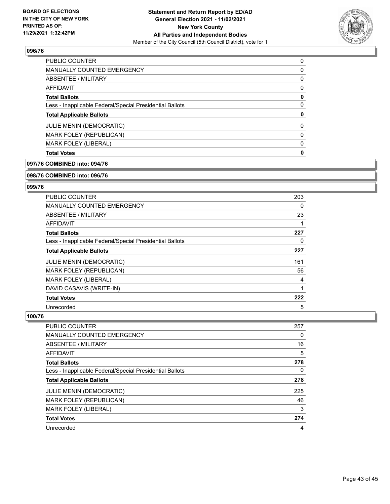

| <b>Total Votes</b>                                       | 0        |
|----------------------------------------------------------|----------|
| <b>MARK FOLEY (LIBERAL)</b>                              | 0        |
| MARK FOLEY (REPUBLICAN)                                  | $\Omega$ |
| <b>JULIE MENIN (DEMOCRATIC)</b>                          | 0        |
| <b>Total Applicable Ballots</b>                          | 0        |
| Less - Inapplicable Federal/Special Presidential Ballots | 0        |
| <b>Total Ballots</b>                                     | 0        |
| AFFIDAVIT                                                | 0        |
| ABSENTEE / MILITARY                                      | 0        |
| MANUALLY COUNTED EMERGENCY                               | 0        |
| <b>PUBLIC COUNTER</b>                                    | 0        |

#### **097/76 COMBINED into: 094/76**

#### **098/76 COMBINED into: 096/76**

#### **099/76**

| PUBLIC COUNTER                                           | 203      |
|----------------------------------------------------------|----------|
| <b>MANUALLY COUNTED EMERGENCY</b>                        | $\Omega$ |
| ABSENTEE / MILITARY                                      | 23       |
| <b>AFFIDAVIT</b>                                         |          |
| <b>Total Ballots</b>                                     | 227      |
| Less - Inapplicable Federal/Special Presidential Ballots | 0        |
| <b>Total Applicable Ballots</b>                          | 227      |
| <b>JULIE MENIN (DEMOCRATIC)</b>                          | 161      |
| MARK FOLEY (REPUBLICAN)                                  | 56       |
| <b>MARK FOLEY (LIBERAL)</b>                              | 4        |
| DAVID CASAVIS (WRITE-IN)                                 |          |
| <b>Total Votes</b>                                       | 222      |
| Unrecorded                                               | 5        |

| <b>PUBLIC COUNTER</b>                                    | 257 |
|----------------------------------------------------------|-----|
| <b>MANUALLY COUNTED EMERGENCY</b>                        | 0   |
| ABSENTEE / MILITARY                                      | 16  |
| AFFIDAVIT                                                | 5   |
| <b>Total Ballots</b>                                     | 278 |
| Less - Inapplicable Federal/Special Presidential Ballots | 0   |
| <b>Total Applicable Ballots</b>                          | 278 |
| <b>JULIE MENIN (DEMOCRATIC)</b>                          | 225 |
| MARK FOLEY (REPUBLICAN)                                  | 46  |
| <b>MARK FOLEY (LIBERAL)</b>                              | 3   |
| <b>Total Votes</b>                                       | 274 |
| Unrecorded                                               | 4   |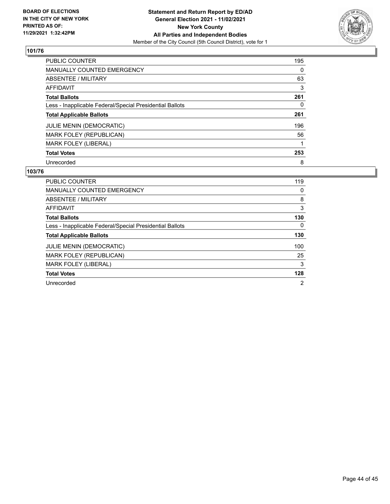

| <b>PUBLIC COUNTER</b>                                    | 195      |
|----------------------------------------------------------|----------|
| <b>MANUALLY COUNTED EMERGENCY</b>                        | $\Omega$ |
| ABSENTEE / MILITARY                                      | 63       |
| <b>AFFIDAVIT</b>                                         | 3        |
| <b>Total Ballots</b>                                     | 261      |
| Less - Inapplicable Federal/Special Presidential Ballots | 0        |
| <b>Total Applicable Ballots</b>                          | 261      |
| <b>JULIE MENIN (DEMOCRATIC)</b>                          | 196      |
| MARK FOLEY (REPUBLICAN)                                  | 56       |
| <b>MARK FOLEY (LIBERAL)</b>                              |          |
| <b>Total Votes</b>                                       | 253      |
| Unrecorded                                               | 8        |

| <b>PUBLIC COUNTER</b>                                    | 119 |
|----------------------------------------------------------|-----|
| <b>MANUALLY COUNTED EMERGENCY</b>                        | 0   |
| ABSENTEE / MILITARY                                      | 8   |
| AFFIDAVIT                                                | 3   |
| <b>Total Ballots</b>                                     | 130 |
| Less - Inapplicable Federal/Special Presidential Ballots | 0   |
|                                                          |     |
| <b>Total Applicable Ballots</b>                          | 130 |
| <b>JULIE MENIN (DEMOCRATIC)</b>                          | 100 |
| MARK FOLEY (REPUBLICAN)                                  | 25  |
| <b>MARK FOLEY (LIBERAL)</b>                              | 3   |
| <b>Total Votes</b>                                       | 128 |